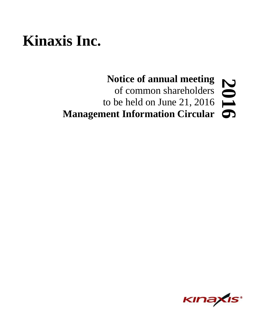# **Kinaxis Inc.**

# **Notice of annual meeting** of common shareholders to be held on June 21, 2016 **Management Information Circular 6201**

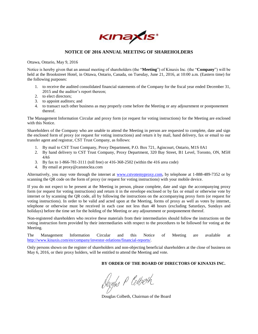

# **NOTICE OF 2016 ANNUAL MEETING OF SHAREHOLDERS**

Ottawa, Ontario, May 9, 2016

Notice is hereby given that an annual meeting of shareholders (the "**Meeting**") of Kinaxis Inc. (the "**Company**") will be held at the Brookstreet Hotel, in Ottawa, Ontario, Canada, on Tuesday, June 21, 2016, at 10:00 a.m. (Eastern time) for the following purposes:

- 1. to receive the audited consolidated financial statements of the Company for the fiscal year ended December 31, 2015 and the auditor's report thereon;
- 2. to elect directors;
- 3. to appoint auditors; and
- 4. to transact such other business as may properly come before the Meeting or any adjournment or postponement thereof.

The Management Information Circular and proxy form (or request for voting instructions) for the Meeting are enclosed with this Notice.

Shareholders of the Company who are unable to attend the Meeting in person are requested to complete, date and sign the enclosed form of proxy (or request for voting instructions) and return it by mail, hand delivery, fax or email to our transfer agent and registrar, CST Trust Company, as follows:

- 1. By mail to CST Trust Company, Proxy Department, P.O. Box 721, Agincourt, Ontario, M1S 0A1
- 2. By hand delivery to CST Trust Company, Proxy Department, 320 Bay Street, B1 Level, Toronto, ON, M5H 4A6
- 3. By fax to 1-866-781-3111 (toll free) or 416-368-2502 (within the 416 area code)
- 4. By email at [proxy@canstockta.com](mailto:proxy@canstockta.com)

Alternatively, you may vote through the internet at [www.cstvotemyproxy.com,](http://www.cstvotemyproxy.com/) by telephone at 1-888-489-7352 or by scanning the QR code on the form of proxy (or request for voting instructions) with your mobile device.

If you do not expect to be present at the Meeting in person, please complete, date and sign the accompanying proxy form (or request for voting instructions) and return it in the envelope enclosed or by fax or email or otherwise vote by internet or by scanning the QR code, all by following the instructions on the accompanying proxy form (or request for voting instructions). In order to be valid and acted upon at the Meeting, forms of proxy as well as votes by internet, telephone or otherwise must be received in each case not less than 48 hours (excluding Saturdays, Sundays and holidays) before the time set for the holding of the Meeting or any adjournment or postponement thereof.

Non-registered shareholders who receive these materials from their intermediaries should follow the instructions on the voting instruction form provided by their intermediaries with respect to the procedures to be followed for voting at the Meeting.

The Management Information Circular and this Notice of Meeting are available at [http://www.kinaxis.com/en/company/investor-relations/financial-reports/.](http://www.kinaxis.com/en/company/investor-relations/financial-reports/)

Only persons shown on the register of shareholders and non-objecting beneficial shareholders at the close of business on May 6, 2016, or their proxy holders, will be entitled to attend the Meeting and vote.

**BY ORDER OF THE BOARD OF DIRECTORS OF KINAXIS INC.**

Dougles P Colbeth

Douglas Colbeth, Chairman of the Board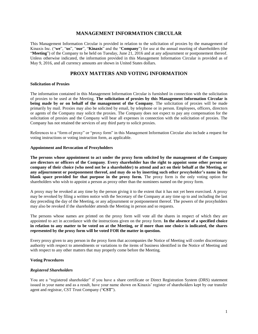# **MANAGEMENT INFORMATION CIRCULAR**

This Management Information Circular is provided in relation to the solicitation of proxies by the management of Kinaxis Inc. ("**we**", "**us**", "**our**", "**Kinaxis**" and the "**Company**") for use at the annual meeting of shareholders (the "**Meeting**") of the Company to be held on Tuesday, June 21, 2016 and at any adjournment or postponement thereof. Unless otherwise indicated, the information provided in this Management Information Circular is provided as of May 9, 2016, and all currency amounts are shown in United States dollars.

# **PROXY MATTERS AND VOTING INFORMATION**

# **Solicitation of Proxies**

The information contained in this Management Information Circular is furnished in connection with the solicitation of proxies to be used at the Meeting. **The solicitation of proxies by this Management Information Circular is being made by or on behalf of the management of the Company**. The solicitation of proxies will be made primarily by mail. Proxies may also be solicited by email, by telephone or in person. Employees, officers, directors or agents of the Company may solicit the proxies. The Company does not expect to pay any compensation for the solicitation of proxies and the Company will bear all expenses in connection with the solicitation of proxies. The Company has not retained the services of any third party to solicit proxies.

References to a "form of proxy" or "proxy form" in this Management Information Circular also include a request for voting instructions or voting instruction form, as applicable.

#### **Appointment and Revocation of Proxyholders**

**The persons whose appointment to act under the proxy form solicited by the management of the Company are directors or officers of the Company**. **Every shareholder has the right to appoint some other person or company of their choice (who need not be a shareholder) to attend and act on their behalf at the Meeting, or any adjournment or postponement thereof, and may do so by inserting such other proxyholder's name in the blank space provided for that purpose in the proxy form.** The proxy form is the only voting option for shareholders who wish to appoint a person as proxy other than the nominees named on the proxy form.

A proxy may be revoked at any time by the person giving it to the extent that it has not yet been exercised. A proxy may be revoked by filing a written notice with the Secretary of the Company at any time up to and including the last day preceding the day of the Meeting, or any adjournment or postponement thereof. The powers of the proxyholders may also be revoked if the shareholder attends the Meeting in person and so requests.

The persons whose names are printed on the proxy form will vote all the shares in respect of which they are appointed to act in accordance with the instructions given on the proxy form. **In the absence of a specified choice in relation to any matter to be voted on at the Meeting, or if more than one choice is indicated, the shares represented by the proxy form will be voted FOR the matter in question.**

Every proxy given to any person in the proxy form that accompanies the Notice of Meeting will confer discretionary authority with respect to amendments or variations to the items of business identified in the Notice of Meeting and with respect to any other matters that may properly come before the Meeting.

# **Voting Procedures**

# *Registered Shareholders*

You are a "registered shareholder" if you have a share certificate or Direct Registration System (DRS) statement issued in your name and as a result, have your name shown on Kinaxis' register of shareholders kept by our transfer agent and registrar, CST Trust Company ("**CST**").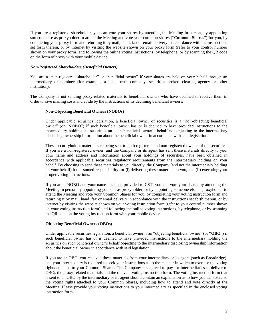If you are a registered shareholder, you can vote your shares by attending the Meeting in person, by appointing someone else as proxyholder to attend the Meeting and vote your common shares ("**Common Shares**") for you, by completing your proxy form and returning it by mail, hand, fax or email delivery in accordance with the instructions set forth therein, or by internet by visiting the website shown on your proxy form (refer to your control number shown on your proxy form) and following the online voting instructions, by telephone, or by scanning the QR code on the form of proxy with your mobile device.

# *Non-Registered Shareholders (Beneficial Owners)*

You are a "non-registered shareholder" or "beneficial owner" if your shares are held on your behalf through an intermediary or nominee (for example, a bank, trust company, securities broker, clearing agency or other institution).

The Company is not sending proxy-related materials to beneficial owners who have declined to receive them in order to save mailing costs and abide by the instructions of its declining beneficial owners.

# **Non-Objecting Beneficial Owners (NOBOs)**

Under applicable securities legislation, a beneficial owner of securities is a "non-objecting beneficial owner" (or "**NOBO**") if such beneficial owner has or is deemed to have provided instructions to the intermediary holding the securities on such beneficial owner's behalf not objecting to the intermediary disclosing ownership information about the beneficial owner in accordance with said legislation.

These securityholder materials are being sent to both registered and non-registered owners of the securities. If you are a non-registered owner, and the Company or its agent has sent these materials directly to you, your name and address and information about your holdings of securities, have been obtained in accordance with applicable securities regulatory requirements from the intermediary holding on your behalf. By choosing to send these materials to you directly, the Company (and not the intermediary holding on your behalf) has assumed responsibility for (i) delivering these materials to you, and (ii) executing your proper voting instructions.

If you are a NOBO and your name has been provided to CST, you can vote your shares by attending the Meeting in person by appointing yourself as proxyholder, or by appointing someone else as proxyholder to attend the Meeting and vote your Common Shares for you, by completing your voting instruction form and returning it by mail, hand, fax or email delivery in accordance with the instructions set forth therein, or by internet by visiting the website shown on your voting instruction form (refer to your control number shown on your voting instruction form) and following the online voting instructions, by telephone, or by scanning the QR code on the voting instruction form with your mobile device.

# **Objecting Beneficial Owners (OBOs)**

Under applicable securities legislation, a beneficial owner is an "objecting beneficial owner" (or "**OBO**") if such beneficial owner has or is deemed to have provided instructions to the intermediary holding the securities on such beneficial owner's behalf objecting to the intermediary disclosing ownership information about the beneficial owner in accordance with said legislation.

If you are an OBO, you received these materials from your intermediary or its agent (such as Broadridge), and your intermediary is required to seek your instructions as to the manner in which to exercise the voting rights attached to your Common Shares. The Company has agreed to pay for intermediaries to deliver to OBOs the proxy-related materials and the relevant voting instruction form. The voting instruction form that is sent to an OBO by the intermediary or its agent should contain an explanation as to how you can exercise the voting rights attached to your Common Shares, including how to attend and vote directly at the Meeting. Please provide your voting instructions to your intermediary as specified in the enclosed voting instruction form.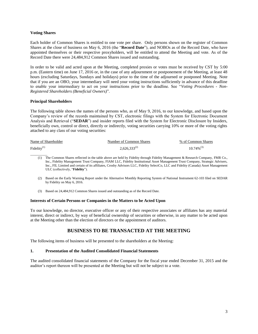# **Voting Shares**

Each holder of Common Shares is entitled to one vote per share. Only persons shown on the register of Common Shares at the close of business on May 6, 2016 (the "**Record Date**"), and NOBOs as of the Record Date, who have appointed themselves or their respective proxyholders, will be entitled to attend the Meeting and vote. As of the Record Date there were 24,484,912 Common Shares issued and outstanding.

In order to be valid and acted upon at the Meeting, completed proxies or votes must be received by CST by 5:00 p.m. (Eastern time) on June 17, 2016 or, in the case of any adjournment or postponement of the Meeting, at least 48 hours (excluding Saturdays, Sundays and holidays) prior to the time of the adjourned or postponed Meeting. Note that if you are an OBO, your intermediary will need your voting instructions sufficiently in advance of this deadline to enable your intermediary to act on your instructions prior to the deadline. See "*Voting Procedures - Non-Registered Shareholders (Beneficial Owners)*".

# **Principal Shareholders**

The following table shows the names of the persons who, as of May 9, 2016, to our knowledge, and based upon the Company's review of the records maintained by CST, electronic filings with the System for Electronic Document Analysis and Retrieval ("**SEDAR**") and insider reports filed with the System for Electronic Disclosure by Insiders, beneficially own, control or direct, directly or indirectly, voting securities carrying 10% or more of the voting rights attached to any class of our voting securities:

| Name of Shareholder | Number of Common Shares | % of Common Shares |
|---------------------|-------------------------|--------------------|
| Fidelity $(1)$      | $2,626,333^{(2)}$       | $10.74\%^{(3)}$    |

- $\overline{\phantom{a}}$  , where  $\overline{\phantom{a}}$ (1) The Common Shares reflected in the table above are held by Fidelity through Fidelity Management & Research Company, FMR Co., Inc., Fidelity Management Trust Company, FIAM LLC, Fidelity Institutional Asset Management Trust Company, Strategic Advisers, Inc., FIL Limited and certain of its affiliates, Crosby Advisors LLC, Fidelity SelectCo, LLC and Fidelity (Canada) Asset Management ULC (collectively, "**Fidelity**").
	- (2) Based on the Early Warning Report under the Alternative Monthly Reporting System of National Instrument 62-103 filed on SEDAR by Fidelity on May 6, 2016.
	- (3) Based on 24,484,912 Common Shares issued and outstanding as of the Record Date.

# **Interests of Certain Persons or Companies in the Matters to be Acted Upon**

To our knowledge, no director, executive officer or any of their respective associates or affiliates has any material interest, direct or indirect, by way of beneficial ownership of securities or otherwise, in any matter to be acted upon at the Meeting other than the election of directors or the appointment of auditors.

# **BUSINESS TO BE TRANSACTED AT THE MEETING**

The following items of business will be presented to the shareholders at the Meeting:

# **1. Presentation of the Audited Consolidated Financial Statements**

The audited consolidated financial statements of the Company for the fiscal year ended December 31, 2015 and the auditor's report thereon will be presented at the Meeting but will not be subject to a vote.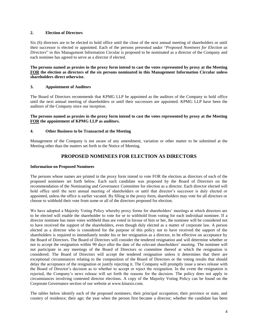# **2. Election of Directors**

Six (6) directors are to be elected to hold office until the close of the next annual meeting of shareholders or until their successor is elected or appointed. Each of the persons presented under "*Proposed Nominees for Election as Directors*" in this Management Information Circular is proposed to be nominated as a director of the Company and each nominee has agreed to serve as a director if elected.

**The persons named as proxies in the proxy form intend to cast the votes represented by proxy at the Meeting FOR the election as directors of the six persons nominated in this Management Information Circular unless shareholders direct otherwise.**

# **3. Appointment of Auditors**

The Board of Directors recommends that KPMG LLP be appointed as the auditors of the Company to hold office until the next annual meeting of shareholders or until their successors are appointed. KPMG LLP have been the auditors of the Company since our inception.

# **The persons named as proxies in the proxy form intend to cast the votes represented by proxy at the Meeting FOR the appointment of KPMG LLP as auditors.**

# **4. Other Business to be Transacted at the Meeting**

Management of the Company is not aware of any amendment, variation or other matter to be submitted at the Meeting other than the matters set forth in the Notice of Meeting.

# **PROPOSED NOMINEES FOR ELECTION AS DIRECTORS**

# **Information on Proposed Nominees**

The persons whose names are printed in the proxy form intend to vote FOR the election as directors of each of the proposed nominees set forth below. Each such candidate was proposed by the Board of Directors on the recommendation of the Nominating and Governance Committee for election as a director. Each director elected will hold office until the next annual meeting of shareholders or until that director's successor is duly elected or appointed, unless the office is earlier vacated. By filling in the proxy form, shareholders may vote for all directors or choose to withhold their vote from some or all of the directors proposed for election.

We have adopted a Majority Voting Policy whereby proxy forms for shareholders' meetings at which directors are to be elected will enable the shareholder to vote for or to withhold from voting for each individual nominee. If a director nominee has more votes withheld than are voted in favour of him or her, the nominee will be considered not to have received the support of the shareholders, even though duly elected as a matter of corporate law. A person elected as a director who is considered for the purpose of this policy not to have received the support of the shareholders is required to immediately tender his or her resignation as a director, to be effective on acceptance by the Board of Directors. The Board of Directors will consider the tendered resignation and will determine whether or not to accept the resignation within 90 days after the date of the relevant shareholders' meeting. The nominee will not participate in any meetings of the Board of Directors or committee thereof at which the resignation is considered. The Board of Directors will accept the tendered resignation unless it determines that there are exceptional circumstances relating to the composition of the Board of Directors or the voting results that should delay the acceptance of the resignation or justify rejecting it. The Company will promptly issue a news release with the Board of Director's decision as to whether to accept or reject the resignation. In the event the resignation is rejected, the Company's news release will set forth the reasons for the decision. The policy does not apply in circumstances involving contested director elections. A copy of the Majority Voting Policy can be found on the Corporate Governance section of our website at www.kinaxis.com.

The tables below identify each of the proposed nominees; their principal occupation; their province or state, and country of residence; their age; the year when the person first became a director; whether the candidate has been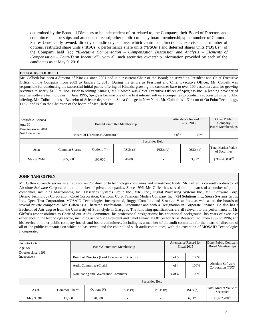determined by the Board of Directors to be independent of, or related to, the Company; their Board of Directors and committee memberships and attendance record; other public company board memberships; the number of Common Shares beneficially owned, directly or indirectly, or over which control or direction is exercised, the number of options, restricted share units ("**RSUs**"), performance share units ("**PSUs**") and deferred shares units ("**DSUs**") of the Company held (see "*Executive Compensation – Compensation Discussion and Analysis – Elements of Compensation – Long-Term Incentive*"), with all such securities ownership information provided by each of the candidates as at May 9, 2016.

# **DOUGLAS COLBETH**

Mr. Colbeth has been a director of Kinaxis since 2001 and is our current Chair of the Board; he served as President and Chief Executive Officer of the Company from 2003 to January 1, 2016. During his tenure as President and Chief Executive Officer, Mr. Colbeth was responsible for conducting the successful initial public offering of Kinaxis, growing the customer base to over 100 customers and for growing revenues to nearly \$100 million. Prior to joining Kinaxis, Mr. Colbeth was Chief Executive Officer of Spyglass Inc., a leading provider of internet software technologies. In June 1995, Spyglass became one of the first internet software companies to conduct a successful initial public offering. Mr. Colbeth holds a Bachelor of Science degree from Siena College in New York. Mr. Colbeth is a Director of On Point Technology, LLC and is also the Chairman of the board of MedCircle Inc.

| Scottsdale, Arizona<br>Age: $60$ |                 | Board/Committee Membership |                               |            |               | Attendance Record for<br>Fiscal 2015 |  | Other Public<br>Company<br><b>Board Memberships</b> |                                            |
|----------------------------------|-----------------|----------------------------|-------------------------------|------------|---------------|--------------------------------------|--|-----------------------------------------------------|--------------------------------------------|
| Director since: 2001             |                 |                            |                               |            |               |                                      |  |                                                     |                                            |
| Not Independent                  |                 |                            | Board of Directors (Chairman) |            |               | 5 of 5                               |  | 100\%                                               |                                            |
|                                  |                 | Securities Held            |                               |            |               |                                      |  |                                                     |                                            |
| As at                            | Common Shares   |                            | Options $(\#)$                | $RSUs$ (#) | $PSUs$ $(\#)$ |                                      |  | $DSUs$ $(\#)$                                       | <b>Total Market Value</b><br>of Securities |
| May 9, 2016                      | $955,000^{(1)}$ |                            | 100,000                       | 40,000     |               |                                      |  | 3,917                                               | $$38,640,031^{(5)}$                        |

# **JOHN (IAN) GIFFEN**

Mr. Giffen currently serves as an advisor and/or director to technology companies and investment funds. Mr. Giffen is currently a director of Absolute Software Corporation and a number of private companies. Since 1996, Mr. Giffen has served on the boards of a number of public companies, including Macromedia, Inc., Descartes Systems Group Inc., MKS Inc., Digital Processing Systems Inc., MGI Software Corp, Delano Technology Corporation, Corel Corporation, Certicom Corp, Financial Models Company Inc., 724 Solutions Inc., Sierra Systems Group Inc., Open Text Corporation, MOSAID Technologies Incorporated, RuggedCom Inc. and Strategic Vista Inc., as well as on the boards of several private companies. Mr. Giffen is a Chartered Professional Accountant and with a Designation in Corporate Finance. He also has a Bachelor of Arts degree from the University of Strathclyde in Glasgow. The following qualifications are all relevant to the performance of Mr. Giffen's responsibilities as Chair of our Audit Committee: his professional designations; his educational background; his years of executive experience in the technology sector, including as the Vice President and Chief Financial Officer for Alias Research Inc. from 1992 to 1996; and his service on other public company boards and board committees, including as a member of the audit committee for the board of directors of all of the public companies on which he has served, and the chair all of such audit committees, with the exception of MOSAID Technologies Incorporated.

| Toronto, Ontario<br>Age: 58<br>Director since: 1996 |                      | Board/Committee Membership                                |                                                |            |                          | Attendance Record for<br>Fiscal 2015 |                    | Other Public Company<br><b>Board Memberships</b> |                                               |
|-----------------------------------------------------|----------------------|-----------------------------------------------------------|------------------------------------------------|------------|--------------------------|--------------------------------------|--------------------|--------------------------------------------------|-----------------------------------------------|
| Independent                                         |                      |                                                           | Board of Directors (Lead Independent Director) |            |                          | 5 of 5                               |                    | 100%                                             |                                               |
|                                                     |                      |                                                           | Audit Committee (Chair)                        |            |                          |                                      | $4$ of $4$<br>100% |                                                  | <b>Absolute Software</b><br>Corporation (TSX) |
|                                                     |                      | $4$ of $4$<br>100%<br>Nominating and Governance Committee |                                                |            |                          |                                      |                    |                                                  |                                               |
|                                                     |                      |                                                           |                                                |            | Securities Held          |                                      |                    |                                                  |                                               |
| As at                                               | <b>Common Shares</b> |                                                           | Options $(\#)$                                 | $RSUs$ (#) | $PSUs$ (#)               |                                      |                    | $DSUs$ (#)                                       | Total Market Value of<br>Securities           |
| May 9, 2016                                         | 17,500               |                                                           | 20,000                                         |            | $\overline{\phantom{a}}$ |                                      |                    | 6,917                                            | $$1,402,288^{(5)}$                            |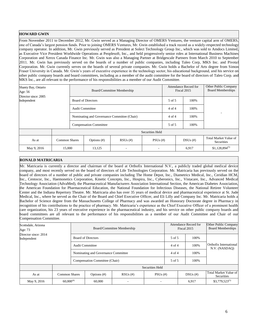# **HOWARD GWIN**

From November 2011 to December 2012, Mr. Gwin served as a Managing Director of OMERS Ventures, the venture capital arm of OMERS, one of Canada's largest pension funds. Prior to joining OMERS Ventures, Mr. Gwin established a track record as a widely-respected technology company operator. In addition, Mr. Gwin previously served as President at Solect Technology Group Inc., which was sold to Amdocs Limited, as Executive Vice President Worldwide Operations at Peoplesoft, Inc., and held progressively senior roles at International Business Machines Corporation and Xerox Canada Finance Inc. Mr. Gwin was also a Managing Partner at Bridgescale Partners from March 2010 to September 2011. Mr. Gwin has previously served on the boards of a number of public companies, including Taleo Corp, MKS Inc. and Pivotal Corporation. Mr. Gwin currently serves on the boards of several private companies. Mr. Gwin holds a Bachelor of Arts degree from Simon Fraser University in Canada. Mr. Gwin's years of executive experience in the technology sector, his educational background, and his service on other public company boards and board committees, including as a member of the audit committee for the board of directors of Taleo Corp. and MKS Inc., are all relevant to the performance of his responsibilities as a member of our Audit Committee.

| Shanty Bay, Ontario<br>Age: 56      |                      |                                             | Board/Committee Membership    |                          |                 | Attendance Record for<br>Fiscal 2015 |            | Other Public Company<br><b>Board Memberships</b> |
|-------------------------------------|----------------------|---------------------------------------------|-------------------------------|--------------------------|-----------------|--------------------------------------|------------|--------------------------------------------------|
| Director since: 2005<br>Independent |                      |                                             | <b>Board of Directors</b>     |                          |                 | 5 of 5                               | 100%       |                                                  |
|                                     |                      |                                             | <b>Audit Committee</b>        |                          |                 | $4$ of $4$                           | 100%       |                                                  |
|                                     |                      | Nominating and Governance Committee (Chair) |                               |                          | $4$ of $4$      | 100%                                 |            |                                                  |
|                                     |                      |                                             | <b>Compensation Committee</b> |                          |                 | 5 of 5                               | 100%       |                                                  |
|                                     |                      |                                             |                               |                          | Securities Held |                                      |            |                                                  |
| As at                               | <b>Common Shares</b> |                                             | Options $(\#)$                | $RSUs$ (#)               | $PSUs$ (#)      |                                      | $DSUs$ (#) | Total Market Value of<br>Securities              |
| May 9, 2016                         | 15,000               |                                             | 13,125                        | $\overline{\phantom{a}}$ | $\sim$          |                                      | 6,917      | $$1,128,894^{(5)}$                               |

# **RONALD MATRICARIA**

Mr. Matricaria is currently a director and chairman of the board at Orthofix International N.V., a publicly traded global medical device company, and most recently served on the board of directors of Life Technologies Corporation. Mr. Matricaria has previously served on the board of directors of a number of public and private companies including The Home Depot, Inc., Diametrics Medical, Inc., Ceridian HCM, Inc., Centocor, Inc., Haemonetics Corporation, Kinetic Concepts, Inc., Hospira, Inc., Cyberonics, Inc., Vistacare, Inc., Advanced Medical Technology Association (AdvaMed), the Pharmaceutical Manufacturers Association International Section, the American Diabetes Association, the American Foundation for Pharmaceutical Education, the National Foundation for Infectious Diseases, the National Retiree Volunteer Center and the Indiana Repertory Theatre. Mr. Matricaria also has over 35 years of medical device and pharmaceutical experience at St. Jude Medical, Inc., where he served as the Chair of the Board and Chief Executive Officer, and Eli Lilly and Company Inc. Mr. Matricaria holds a Bachelor of Science degree from the Massachusetts College of Pharmacy and was awarded an Honorary Doctorate degree in Pharmacy in recognition of his contributions to the practice of pharmacy. Mr. Matricaria's experience as the Chief Executive Officer of a prominent health care organization, his 23 years of executive experience in the pharmaceutical industry, and his service on other public company boards and board committees are all relevant to the performance of his responsibilities as a member of our Audit Committee and Chair of our Compensation Committee.

| Scottsdale, Arizona<br>Age: 73      |                      | Board/Committee Membership |                                     |            |                 | Attendance Record for<br>Fiscal 2015 |                    |       | Other Public Company<br><b>Board Memberships</b> |
|-------------------------------------|----------------------|----------------------------|-------------------------------------|------------|-----------------|--------------------------------------|--------------------|-------|--------------------------------------------------|
| Director since: 2014<br>Independent |                      |                            | <b>Board of Directors</b>           |            |                 | 5 of 5                               |                    | 100%  |                                                  |
|                                     |                      |                            | <b>Audit Committee</b>              |            |                 |                                      | $4$ of $4$<br>100% |       | Orthofix International<br>N.V. (NASDAO)          |
|                                     |                      |                            | Nominating and Governance Committee |            |                 |                                      | $4$ of $4$         | 100%  |                                                  |
|                                     |                      |                            | Compensation Committee (Chair)      |            |                 |                                      | 5 of 5             | 100\% |                                                  |
|                                     |                      |                            |                                     |            | Securities Held |                                      |                    |       |                                                  |
| As at                               | <b>Common Shares</b> |                            | Options $(\#)$                      | $RSUs$ (#) | $PSUs$ (#)      |                                      | $DSUs$ (#)         |       | Total Market Value of<br>Securities              |
| May 9, 2016                         | $60,000^{(4)}$       |                            | 60,000                              |            |                 |                                      |                    | 6.917 | $$3,779,523^{(5)}$                               |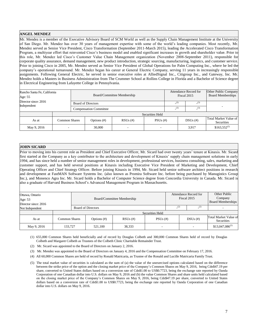# **ANGEL MENDEZ**

Mr. Mendez is a member of the Executive Advisory Board of SCM World as well as the Supply Chain Management Institute at the University of San Diego. Mr. Mendez has over 30 years of management expertise with some of the world's leading companies. Most recently, Mr. Mendez served as Senior Vice President, Cisco Transformation (September 2011-March 2015), leading the Accelerated Cisco Transformation Program, a multiyear effort that reinvented Cisco's business model and enabled significant increases in growth and shareholder value. Prior to this role, Mr. Mendez led Cisco's Customer Value Chain Management organization (November 2008-September 2011), responsible for corporate quality assurance, demand management, new product introduction, strategic sourcing, manufacturing, logistics, and customer service. Prior to joining Cisco in 2005, Mr. Mendez served as Senior Vice President of Global Operations for Palm Computing Inc., where he led the company's operational turnaround. Mr. Mendez began his career at General Electric Company, serving 11 years in increasingly responsible assignments. Following General Electric, he served in senior executive roles at AlliedSignal Inc., Citigroup Inc., and Gateway, Inc. Mr. Mendez holds a Masters in Business Administration from The Crummer School at Rollins College in Florida and a Bachelor of Science degree in Electrical Engineering from Lafayette College in Pennsylvania.

| Rancho Santa Fe, California<br>Age: 55 |               |                               | Board/Committee Membership |            |                 |     | Attendance Record for<br>Fiscal 2015 | Other Public Company<br><b>Board Memberships</b> |
|----------------------------------------|---------------|-------------------------------|----------------------------|------------|-----------------|-----|--------------------------------------|--------------------------------------------------|
| Director since: 2016<br>Independent    |               |                               | <b>Board of Directors</b>  |            |                 | (3) | (3)                                  |                                                  |
|                                        |               | <b>Compensation Committee</b> |                            |            |                 | (3) | (3)                                  |                                                  |
|                                        |               |                               |                            |            | Securities Held |     |                                      |                                                  |
| As at                                  | Common Shares |                               | Options $(\#)$             | $RSUs$ (#) | $PSUs$ (#)      |     | $DSUs$ (#)                           | Total Market Value of<br><b>Securities</b>       |
| May 9, 2016                            |               |                               | 30,000                     |            |                 |     | 3,917                                | $$163,552^{(5)}$                                 |

# **JOHN SICARD**

Prior to moving into his current role as President and Chief Executive Officer, Mr. Sicard had over twenty years' tenure at Kinaxis. Mr. Sicard first started at the Company as a key contributor to the architecture and development of Kinaxis' supply chain management solutions in early 1994, and has since held a number of senior management roles in development, professional services, business consulting, sales, marketing and customer support, and has held several positions at Kinaxis including Executive Vice President of Marketing and Development, Chief Operating Officer and Chief Strategy Officer. Before joining Kinaxis in 1994, Mr. Sicard held senior software architect positions in research and development at FastMAN Software Systems Inc. (also known as Promira Software Inc. before being purchased by Manugistics Group Inc.), and Monenco Agra Inc. Mr. Sicard holds a Bachelor of Computer Science degree from Concordia University in Canada. Mr. Sicard is also a graduate of Harvard Business School's Advanced Management Program in Massachusetts.

| Ottawa, Ontario      |               |                           |             |                            |                 |            | Attendance Record for | Other Public                               |  |
|----------------------|---------------|---------------------------|-------------|----------------------------|-----------------|------------|-----------------------|--------------------------------------------|--|
| Age: 53              |               |                           |             | Board/Committee Membership |                 |            | Fiscal 2015           | Company                                    |  |
| Director since: 2016 |               |                           |             |                            |                 |            |                       | Board Memberships                          |  |
| Not Independent      |               | <b>Board of Directors</b> |             |                            | (2)             | (2)        |                       |                                            |  |
|                      |               |                           |             |                            | Securities Held |            |                       |                                            |  |
| As at                | Common Shares |                           | Options (#) | $RSUs$ (#)                 | $PSUs$ (#)      | $DSUs$ (#) |                       | <b>Total Market Value of</b><br>Securities |  |
| May 9, 2016          | 133.727       |                           | 521,100     | 38,333                     |                 |            |                       | $$13,047,086^{(5)}$                        |  |

(1) 655,000 Common Shares held beneficially and of record by Douglas Colbeth and 300,000 Common Shares held of record by Douglas Colbeth and Margaret Colbeth as Trustees of the Colbeth Clinic Charitable Remainder Trust.

- (2) Mr. Sicard was appointed to the Board of Directors on January 2, 2016.
- (3) Mr. Mendez was appointed to the Board of Directors on January 4, 2016 and the Compensation Committee on February 17, 2016.
- (4) All 60,000 Common Shares are held of record by Ronald Matricaria, as Trustee of the Ronald and Lucille Matricaria Family Trust.
- (5) The total market value of securities is calculated as the sum of (a) the value of the unexercised options calculated based on the difference between the strike price of the option and the closing market price of the Company's Common Shares on May 9, 2016, being Cdn\$47.19 per share, converted to United States dollars based on a conversion rate of Cdn\$1.00 to US\$0.7723, being the exchange rate reported by Oanda Corporation of one Canadian dollar into U.S. dollars on May 9, 2016 and (b) the value Common Shares and share units held calculated based on the closing market price of the Company's Common Shares on May 9, 2016, being Cdn\$47.19 per share, converted to United States dollars based on a conversion rate of Cdn\$1.00 to US\$0.7723, being the exchange rate reported by Oanda Corporation of one Canadian dollar into U.S. dollars on May 9, 2016.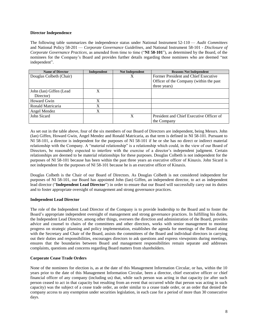# **Director Independence**

The following table summarizes the independence status under National Instrument 52-110 — *Audit Committees* and National Policy 58-201 — *Corporate Governance Guidelines,* and National Instrument 58-101 - *Disclosure of Corporate Governance Practices*, as amended from time to time ("**NI 58-101**"), as determined by the Board, of the nominees for the Company's Board and provides further details regarding those nominees who are deemed "not independent".

| <b>Name of Director</b> | Independent | <b>Not Independent</b> | <b>Reasons Not Independent</b>           |
|-------------------------|-------------|------------------------|------------------------------------------|
| Douglas Colbeth (Chair) |             | X                      | Former President and Chief Executive     |
|                         |             |                        | Officer of the Company (within the past  |
|                         |             |                        | three years)                             |
| John (Ian) Giffen (Lead | X           |                        |                                          |
| Director)               |             |                        |                                          |
| <b>Howard Gwin</b>      | X           |                        |                                          |
| Ronald Matricaria       | X           |                        |                                          |
| Angel Mendez            | X           |                        |                                          |
| John Sicard             |             | X                      | President and Chief Executive Officer of |
|                         |             |                        | the Company                              |

As set out in the table above, four of the six members of our Board of Directors are independent, being Messrs. John (Ian) Giffen, Howard Gwin, Angel Mendez and Ronald Matricaria, as that term is defined in NI 58-101. Pursuant to NI 58-101, a director is independent for the purposes of NI 58-101 if he or she has no direct or indirect material relationship with the Company. A "material relationship" is a relationship which could, in the view of our Board of Directors, be reasonably expected to interfere with the exercise of a director's independent judgment. Certain relationships are deemed to be material relationships for these purposes. Douglas Colbeth is not independent for the purposes of NI 58-101 because has been within the past three years an executive officer of Kinaxis. John Sicard is not independent for the purposes of NI 58-101 because he is an executive officer of Kinaxis.

Douglas Colbeth is the Chair of our Board of Directors. As Douglas Colbeth is not considered independent for purposes of NI 58-101, our Board has appointed John (Ian) Giffen, an independent director, to act as independent lead director ("**Independent Lead Director**") in order to ensure that our Board will successfully carry out its duties and to foster appropriate oversight of management and strong governance practices.

# **Independent Lead Director**

The role of the Independent Lead Director of the Company is to provide leadership to the Board and to foster the Board's appropriate independent oversight of management and strong governance practices. In fulfilling his duties, the Independent Lead Director, among other things, oversees the direction and administration of the Board, provides advice and counsel to chairs of the committees and other directors, works with senior management to monitor progress on strategic planning and policy implementation, establishes the agenda for meetings of the Board along with the Secretary and Chair of the Board, assists the committees of the Board and individual directors in carrying out their duties and responsibilities, encourages directors to ask questions and express viewpoints during meetings, ensures that the boundaries between Board and management responsibilities remain separate and addresses complaints, questions and concerns regarding Board matters from shareholders.

# **Corporate Cease Trade Orders**

None of the nominees for election is, as at the date of this Management Information Circular, or has, within the 10 years prior to the date of this Management Information Circular, been a director, chief executive officer or chief financial officer of any company (including us) that, while such person was acting in that capacity (or after such person ceased to act in that capacity but resulting from an event that occurred while that person was acting in such capacity) was the subject of a cease trade order, an order similar to a cease trade order, or an order that denied the company access to any exemption under securities legislation, in each case for a period of more than 30 consecutive days.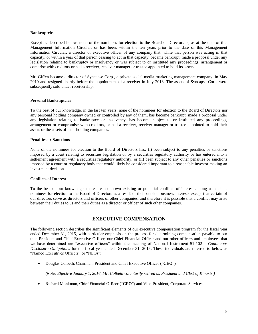#### **Bankruptcies**

Except as described below, none of the nominees for election to the Board of Directors is, as at the date of this Management Information Circular, or has been, within the ten years prior to the date of this Management Information Circular, a director or executive officer of any company that, while that person was acting in that capacity, or within a year of that person ceasing to act in that capacity, became bankrupt, made a proposal under any legislation relating to bankruptcy or insolvency or was subject to or instituted any proceedings, arrangement or comprise with creditors or had a receiver, receiver manager or trustee appointed to hold its assets.

Mr. Giffen became a director of Syncapse Corp., a private social media marketing management company, in May 2010 and resigned shortly before the appointment of a receiver in July 2013. The assets of Syncapse Corp. were subsequently sold under receivership.

# **Personal Bankruptcies**

To the best of our knowledge, in the last ten years, none of the nominees for election to the Board of Directors nor any personal holding company owned or controlled by any of them, has become bankrupt, made a proposal under any legislation relating to bankruptcy or insolvency, has become subject to or instituted any proceedings, arrangement or compromise with creditors, or had a receiver, receiver manager or trustee appointed to hold their assets or the assets of their holding companies.

# **Penalties or Sanctions**

None of the nominees for election to the Board of Directors has: (i) been subject to any penalties or sanctions imposed by a court relating to securities legislation or by a securities regulatory authority or has entered into a settlement agreement with a securities regulatory authority; or (ii) been subject to any other penalties or sanctions imposed by a court or regulatory body that would likely be considered important to a reasonable investor making an investment decision.

# **Conflicts of Interest**

To the best of our knowledge, there are no known existing or potential conflicts of interest among us and the nominees for election to the Board of Directors as a result of their outside business interests except that certain of our directors serve as directors and officers of other companies, and therefore it is possible that a conflict may arise between their duties to us and their duties as a director or officer of such other companies.

# **EXECUTIVE COMPENSATION**

The following section describes the significant elements of our executive compensation program for the fiscal year ended December 31, 2015, with particular emphasis on the process for determining compensation payable to our then President and Chief Executive Officer, our Chief Financial Officer and our other officers and employees that we have determined are "executive officers" within the meaning of National Instrument 51-102 – *Continuous Disclosure Obligations* for the fiscal year ended December 31, 2015. These individuals are referred to below as "Named Executives Officers" or "NEOs":

Douglas Colbeth, Chairman, President and Chief Executive Officer ("**CEO**")

*(Note: Effective January 1, 2016, Mr. Colbeth voluntarily retired as President and CEO of Kinaxis.)*

Richard Monkman, Chief Financial Officer ("**CFO**") and Vice-President, Corporate Services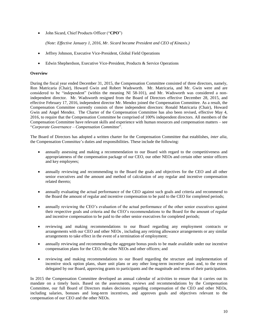John Sicard, Chief Products Officer ("**CPO**")

*(Note: Effective January 1, 2016, Mr. Sicard became President and CEO of Kinaxis.)*

- Jeffrey Johnson, Executive Vice-President, Global Field Operations
- Edwin Shepherdson, Executive Vice-President, Products & Service Operations

# **Overview**

During the fiscal year ended December 31, 2015, the Compensation Committee consisted of three directors, namely, Ron Matricaria (Chair), Howard Gwin and Robert Wadsworth. Mr. Matricaria, and Mr. Gwin were and are considered to be "independent" (within the meaning NI 58-101), and Mr. Wadsworth was considered a nonindependent director. Mr. Wadsworth resigned from the Board of Directors effective December 28, 2015, and effective February 17, 2016, independent director Mr. Mendez joined the Compensation Committee. As a result, the Compensation Committee currently consists of three independent directors: Ronald Matricaria (Chair), Howard Gwin and Angel Mendez. The Charter of the Compensation Committee has also been revised, effective May 4, 2016, to require that the Compensation Committee be comprised of 100% independent directors. All members of the Compensation Committee have relevant skills and experience with human resources and compensation matters – see "*Corporate Governance – Compensation Committee*".

The Board of Directors has adopted a written charter for the Compensation Committee that establishes, *inter alia*, the Compensation Committee's duties and responsibilities. These include the following:

- annually assessing and making a recommendation to our Board with regard to the competitiveness and appropriateness of the compensation package of our CEO, our other NEOs and certain other senior officers and key employees;
- annually reviewing and recommending to the Board the goals and objectives for the CEO and all other senior executives and the amount and method of calculation of any regular and incentive compensation related thereto;
- annually evaluating the actual performance of the CEO against such goals and criteria and recommend to the Board the amount of regular and incentive compensation to be paid to the CEO for completed periods;
- annually reviewing the CEO's evaluation of the actual performance of the other senior executives against their respective goals and criteria and the CEO's recommendations to the Board for the amount of regular and incentive compensation to be paid to the other senior executives for completed periods;
- reviewing and making recommendations to our Board regarding any employment contracts or arrangements with our CEO and other NEOs , including any retiring allowance arrangements or any similar arrangements to take effect in the event of a termination of employment;
- annually reviewing and recommending the aggregate bonus pools to be made available under our incentive compensation plans for the CEO, the other NEOs and other officers; and
- reviewing and making recommendations to our Board regarding the structure and implementation of incentive stock option plans, share unit plans or any other long-term incentive plans and, to the extent delegated by our Board, approving grants to participants and the magnitude and terms of their participation.

In 2015 the Compensation Committee developed an annual calendar of activities to ensure that it carries out its mandate on a timely basis. Based on the assessments, reviews and recommendations by the Compensation Committee, our full Board of Directors makes decisions regarding compensation of the CEO and other NEOs, including salaries, bonuses and long-term incentives, and approves goals and objectives relevant to the compensation of our CEO and the other NEOs.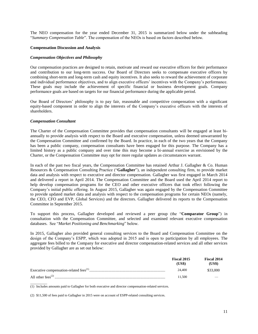The NEO compensation for the year ended December 31, 2015 is summarized below under the subheading "*Summary Compensation Table*". The compensation of the NEOs is based on factors described below.

# **Compensation Discussion and Analysis**

# *Compensation Objectives and Philosophy*

Our compensation practices are designed to retain, motivate and reward our executive officers for their performance and contribution to our long-term success. Our Board of Directors seeks to compensate executive officers by combining short-term and long-term cash and equity incentives. It also seeks to reward the achievement of corporate and individual performance objectives, and to align executive officers' incentives with the Company's performance. These goals may include the achievement of specific financial or business development goals. Company performance goals are based on targets for our financial performance during the applicable period.

Our Board of Directors' philosophy is to pay fair, reasonable and competitive compensation with a significant equity-based component in order to align the interests of the Company's executive officers with the interests of shareholders.

# *Compensation Consultant*

The Charter of the Compensation Committee provides that compensation consultants will be engaged at least biannually to provide analysis with respect to the Board and executive compensation, unless deemed unwarranted by the Compensation Committee and confirmed by the Board. In practice, in each of the two years that the Company has been a public company, compensation consultants have been engaged for this purpose. The Company has a limited history as a public company and over time this may become a bi-annual exercise as envisioned by the Charter, or the Compensation Committee may opt for more regular updates as circumstances warrant.

In each of the past two fiscal years, the Compensation Committee has retained Arthur J. Gallagher & Co. Human Resources & Compensation Consulting Practice ("**Gallagher**"), an independent consulting firm, to provide market data and analysis with respect to executive and director compensation. Gallagher was first engaged in March 2014 and delivered a report in April 2014. The Compensation Committee and the Board used the April 2014 report to help develop compensation programs for the CEO and other executive officers that took effect following the Company's initial public offering. In August 2015, Gallagher was again engaged by the Compensation Committee to provide updated market data and analysis with respect to the compensation programs for certain NEOs (namely, the CEO, CFO and EVP, Global Services) and the directors. Gallagher delivered its reports to the Compensation Committee in September 2015.

To support this process, Gallagher developed and reviewed a peer group (the "**Comparator Group**") in consultation with the Compensation Committee, and selected and examined relevant executive compensation databases. See "*Market Positioning and Benchmarking*" below.

In 2015, Gallagher also provided general consulting services to the Board and Compensation Committee on the design of the Company's ESPP, which was adopted in 2015 and is open to participation by all employees. The aggregate fees billed to the Company for executive and director compensation-related services and all other services provided by Gallagher are as set out below:

|                                              | Fiscal 2015<br>(US\$) | Fiscal 2014<br>(US\$) |
|----------------------------------------------|-----------------------|-----------------------|
|                                              | 24,400                | \$33,000              |
| All other fees <sup><math>(2)</math></sup> . | 11.500                |                       |

 $\overline{\phantom{a}}$  , where  $\overline{\phantom{a}}$ (1) Includes amounts paid to Gallagher for both executive and director compensation-related services.

(2) \$11,500 of fees paid to Gallagher in 2015 were on account of ESPP-related consulting services.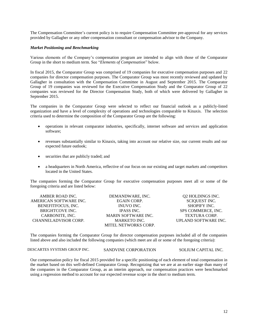The Compensation Committee's current policy is to require Compensation Committee pre-approval for any services provided by Gallagher or any other compensation consultant or compensation advisor to the Company.

# *Market Positioning and Benchmarking*

Various elements of the Company's compensation program are intended to align with those of the Comparator Group in the short to medium term. See "*Elements of Compensation*" below.

In fiscal 2015, the Comparator Group was comprised of 19 companies for executive compensation purposes and 22 companies for director compensation purposes. The Comparator Group was most recently reviewed and updated by Gallagher in consultation with the Compensation Committee in August and September 2015. The Comparator Group of 19 companies was reviewed for the Executive Compensation Study and the Comparator Group of 22 companies was reviewed for the Director Compensation Study, both of which were delivered by Gallagher in September 2015.

The companies in the Comparator Group were selected to reflect our financial outlook as a publicly-listed organization and have a level of complexity of operations and technologies comparable to Kinaxis. The selection criteria used to determine the composition of the Comparator Group are the following:

- operations in relevant comparator industries, specifically, internet software and services and application software;
- revenues substantially similar to Kinaxis, taking into account our relative size, our current results and our expected future outlook;
- securities that are publicly traded; and
- a headquarters in North America, reflective of our focus on our existing and target markets and competitors located in the United States.

The companies forming the Comparator Group for executive compensation purposes meet all or some of the foregoing criteria and are listed below:

| AMBER ROAD INC.        | DEMANDWARE, INC.            | Q2 HOLDINGS INC.     |
|------------------------|-----------------------------|----------------------|
| AMERICAN SOFTWARE INC. | <b>EGAIN CORP.</b>          | <b>SCIQUEST INC.</b> |
| BENEFITFOCUS, INC.     | INUVO INC.                  | <b>SHOPIFY INC.</b>  |
| <b>BRIGHTCOVE INC.</b> | <b>IPASS INC.</b>           | SPS COMMERCE, INC.   |
| CARBONITE, INC.        | <b>MARIN SOFTWARE INC.</b>  | <b>TEXTURA CORP.</b> |
| CHANNELADVISOR CORP.   | <b>MARKETO INC.</b>         | UPLAND SOFTWARE INC. |
|                        | <b>MITEL NETWORKS CORP.</b> |                      |

The companies forming the Comparator Group for director compensation purposes included all of the companies listed above and also included the following companies (which meet are all or some of the foregoing criteria):

DESCARTES SYSTEMS GROUP INC. SANDVINE CORPORATION SOLIUM CAPITAL INC.

Our compensation policy for fiscal 2015 provided for a specific positioning of each element of total compensation in the market based on this well-defined Comparator Group. Recognizing that we are at an earlier stage than many of the companies in the Comparator Group, as an interim approach, our compensation practices were benchmarked using a regression method to account for our expected revenue scope in the short to medium term.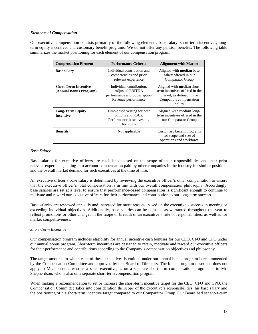# *Elements of Compensation*

Our executive compensation consists primarily of the following elements: base salary, short-term incentives, longterm equity incentives and customary benefit programs. We do not offer any pension benefits. The following table summarizes the market positioning for each element of our compensation program.

| <b>Compensation Element</b>                           | <b>Performance Criteria</b>                                                                               | <b>Alignment with Market</b>                                                                                                         |
|-------------------------------------------------------|-----------------------------------------------------------------------------------------------------------|--------------------------------------------------------------------------------------------------------------------------------------|
| <b>Base salary</b>                                    | Individual contribution and<br>competencies and prior<br>relevant experience                              | Aligned with <b>median</b> base<br>salary offered in our<br><b>Comparator Group</b>                                                  |
| <b>Short-Term Incentive</b><br>(Annual Bonus Program) | Individual contribution,<br><b>Adjusted EBITDA</b><br>performance and Subscription<br>Revenue performance | Aligned with <b>median</b> short-<br>term incentives offered in the<br>market, as defined in the<br>Company's compensation<br>policy |
| <b>Long-Term Equity</b><br><b>Incentive</b>           | Time-based vesting for both<br>options and RSUs.<br>Performance-based vesting<br>for PSU <sub>s</sub>     | Aligned with <b>median</b> long-<br>term incentives offered in the<br>our Comparator Group                                           |
| <b>Benefits</b>                                       | Not applicable                                                                                            | Customary benefit programs<br>for scope and size of<br>operations and workforce                                                      |

# *Base Salary*

Base salaries for executive officers are established based on the scope of their responsibilities and their prior relevant experience, taking into account compensation paid by other companies in the industry for similar positions and the overall market demand for such executives at the time of hire.

An executive officer's base salary is determined by reviewing the executive officer's other compensation to ensure that the executive officer's total compensation is in line with our overall compensation philosophy. Accordingly, base salaries are set at a level to ensure that performance-based compensation is significant enough to continue to motivate and reward our executive officers for their performance and contribution to our long-term success.

Base salaries are reviewed annually and increased for merit reasons, based on the executive's success in meeting or exceeding individual objectives. Additionally, base salaries can be adjusted as warranted throughout the year to reflect promotions or other changes in the scope or breadth of an executive's role or responsibilities, as well as for market competitiveness.

# *Short-Term Incentive*

Our compensation program includes eligibility for annual incentive cash bonuses for our CEO, CFO and CPO under our annual bonus program. Short-term incentives are designed to retain, motivate and reward our executive officers for their performance and contributions according to the Company's compensation objectives and philosophy.

The target amounts to which each of these executives is entitled under our annual bonus program is recommended by the Compensation Committee and approved by our Board of Directors. The bonus program described does not apply to Mr. Johnson, who as a sales executive, is on a separate short-term compensation program or to Mr. Shepherdson, who is also on a separate short-term compensation program.

When making a recommendation to set or increase the short-term incentive target for the CEO, CFO and CPO, the Compensation Committee takes into consideration the scope of the executive's responsibilities, his base salary and the positioning of his short-term incentive target compared to our Comparator Group. Our Board had set short-term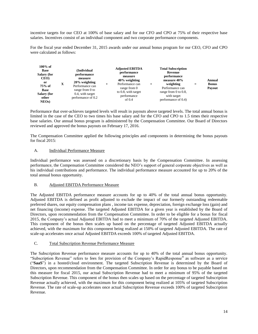incentive targets for our CEO at 100% of base salary and for our CFO and CPO at 75% of their respective base salaries. Incentives consist of an individual component and two corporate performance components.

For the fiscal year ended December 31, 2015 awards under our annual bonus program for our CEO, CFO and CPO were calculated as follows:

| $100\%$ of<br>(Individual<br><b>Base</b><br>Salary (for<br>performance<br>CEO)<br>measure<br>$20\%$ weighting<br>or<br>X<br>$\ddot{}$<br>75% of<br>Performance can<br><b>Base</b><br>range from 0 to<br><b>Salary (for</b><br>0.4, with target<br>performance of 0.2<br>other<br>$NEOs$ ) | <b>Adjusted EBITDA</b><br>performance<br>measure<br>$40\%$ weighting<br>Performance can<br>$\ddot{}$<br>range from 0<br>to 0.8, with target<br>performance<br>of $0.4$ | <b>Total Subscription</b><br>Revenue<br>performance<br>measure 40%<br>weighting<br>Performance can<br>range from $0$ to $0.8$ ,<br>with target<br>performance of 0.4) | $=$ | <b>Annual</b><br><b>Bonus</b><br>Payout |
|-------------------------------------------------------------------------------------------------------------------------------------------------------------------------------------------------------------------------------------------------------------------------------------------|------------------------------------------------------------------------------------------------------------------------------------------------------------------------|-----------------------------------------------------------------------------------------------------------------------------------------------------------------------|-----|-----------------------------------------|
|-------------------------------------------------------------------------------------------------------------------------------------------------------------------------------------------------------------------------------------------------------------------------------------------|------------------------------------------------------------------------------------------------------------------------------------------------------------------------|-----------------------------------------------------------------------------------------------------------------------------------------------------------------------|-----|-----------------------------------------|

Performance that over-achieves targeted levels will result in payouts above targeted levels. The total annual bonus is limited in the case of the CEO to two times his base salary and for the CFO and CPO to 1.5 times their respective base salaries. Our annual bonus program is administered by the Compensation Committee. Our Board of Directors reviewed and approved the bonus payouts on February 17, 2016.

The Compensation Committee applied the following principles and components in determining the bonus payouts for fiscal 2015:

# A. Individual Performance Measure

Individual performance was assessed on a discretionary basis by the Compensation Committee. In assessing performance, the Compensation Committee considered the NEO's support of general corporate objectives as well as his individual contributions and performance. The individual performance measure accounted for up to 20% of the total annual bonus opportunity.

# B. Adjusted EBITDA Performance Measure

The Adjusted EBITDA performance measure accounts for up to 40% of the total annual bonus opportunity. Adjusted EBITDA is defined as profit adjusted to exclude the impact of our formerly outstanding redeemable preferred shares, our equity compensation plans , income tax expense, depreciation, foreign exchange loss (gain) and net financing (income) expense. The targeted Adjusted EBITDA for a given year is established by the Board of Directors, upon recommendation from the Compensation Committee. In order to be eligible for a bonus for fiscal 2015, the Company's actual Adjusted EBITDA had to meet a minimum of 70% of the targeted Adjusted EBITDA. This component of the bonus then scales up based on the percentage of targeted Adjusted EBITDA actually achieved, with the maximum for this component being realized at 150% of targeted Adjusted EBITDA. The rate of scale-up accelerates once actual Adjusted EBITDA exceeds 100% of targeted Adjusted EBITDA.

# C. Total Subscription Revenue Performance Measure

The Subscription Revenue performance measure accounts for up to 40% of the total annual bonus opportunity. "Subscription Revenue" refers to fees for provision of the Company's RapidResponse® as software as a service ("**SaaS**") in a hosted/cloud environment. The targeted Subscription Revenue is determined by the Board of Directors, upon recommendation from the Compensation Committee. In order for any bonus to be payable based on this measure for fiscal 2015, our actual Subscription Revenue had to meet a minimum of 95% of the targeted Subscription Revenue. This component of the bonus then scales up based on the percentage of targeted Subscription Revenue actually achieved, with the maximum for this component being realized at 105% of targeted Subscription Revenue. The rate of scale-up accelerates once actual Subscription Revenue exceeds 100% of targeted Subscription Revenue.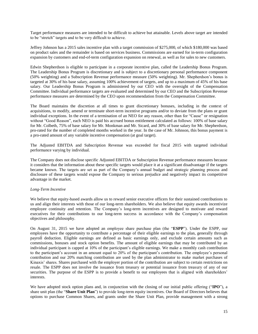Target performance measures are intended to be difficult to achieve but attainable. Levels above target are intended to be "stretch" targets and to be very difficult to achieve.

Jeffrey Johnson has a 2015 sales incentive plan with a target commission of \$275,000, of which \$180,000 was based on product sales and the remainder is based on services business. Commissions are earned for in-term configuration expansion by customers and end-of-term configuration expansion on renewal, as well as for sales to new customers.

Edwin Shepherdson is eligible to participate in a corporate incentive plan, called the Leadership Bonus Program. The Leadership Bonus Program is discretionary and is subject to a discretionary personal performance component (50% weighting) and a Subscription Revenue performance measure (50% weighting). Mr. Shepherdson's bonus is targeted at 30% of his base salary, assuming 100% achievement of targets, and up to a maximum of 45% of his base salary. Our Leadership Bonus Program is administered by our CEO with the oversight of the Compensation Committee. Individual performance targets are evaluated and determined by our CEO and the Subscription Revenue performance measures are determined by the CEO upon recommendation from the Compensation Committee.

The Board maintains the discretion at all times to grant discretionary bonuses, including in the context of acquisitions, to modify, amend or terminate short-term incentive programs and/or to deviate from the plans or grant individual exceptions. In the event of a termination of an NEO for any reason, other than for "Cause" or resignation without "Good Reason", each NEO is paid his accrued bonus entitlement calculated as follows: 100% of base salary for Mr. Colbeth, 75% of base salary for Mr. Monkman and Mr. Sicard, and 30% of base salary for Mr. Shepherdson, pro-rated for the number of completed months worked in the year. In the case of Mr. Johnson, this bonus payment is a pro-rated amount of any variable incentive compensation (at goal target).

The Adjusted EBITDA and Subscription Revenue was exceeded for fiscal 2015 with targeted individual performance varying by individual.

The Company does not disclose specific Adjusted EBITDA or Subscription Revenue performance measures because it considers that the information about these specific targets would place it at a significant disadvantage if the targets became known. The targets are set as part of the Company's annual budget and strategic planning process and disclosure of these targets would expose the Company to serious prejudice and negatively impact its competitive advantage in the market.

# *Long-Term Incentive*

We believe that equity-based awards allow us to reward senior executive officers for their sustained contributions to us and align their interests with those of our long-term shareholders. We also believe that equity awards incentivize employee continuity and retention. The Company's long-term incentives are designed to motivate and reward executives for their contributions to our long-term success in accordance with the Company's compensation objectives and philosophy.

On August 31, 2015 we have adopted an employee share purchase plan (the "**ESPP**"). Under the ESPP, our employees have the opportunity to contribute a percentage of their eligible earnings to the plan, generally through payroll deduction. Eligible earnings are defined as basic earnings only, and exclude certain amounts such as commissions, bonuses and stock option benefits. The amount of eligible earnings that may be contributed by an individual participant is capped at 10% of the participant's eligible earnings. We make a monthly cash contribution to the participant's account in an amount equal to 20% of the participant's contribution. The employee's personal contribution and our 20% matching contribution are used by the plan administrator to make market purchases of Kinaxis' shares. Shares purchased with the employer portion of the contribution are subject to certain restrictions on resale. The ESPP does not involve the issuance from treasury or potential issuance from treasury of any of our securities. The purpose of the ESPP is to provide a benefit to our employees that is aligned with shareholders' interests.

We have adopted stock option plans and, in conjunction with the closing of our initial public offering ("**IPO**"), a share unit plan (the "**Share Unit Plan**") to provide long-term equity incentives. Our Board of Directors believes that options to purchase Common Shares, and grants under the Share Unit Plan, provide management with a strong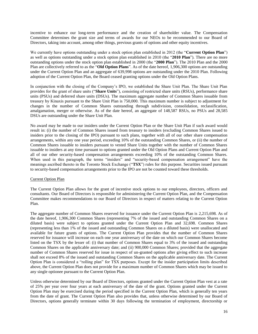incentive to enhance our long-term performance and the creation of shareholder value. The Compensation Committee determines the grant size and terms of awards for our NEOs to be recommended to our Board of Directors, taking into account, among other things, previous grants of options and other equity incentives.

We currently have options outstanding under a stock option plan established in 2012 (the "**Current Option Plan**") as well as options outstanding under a stock option plan established in 2010 (the "**2010 Plan**"). There are no more outstanding options under the stock option plan established in 2000 (the "**2000 Plan**"). The 2010 Plan and the 2000 Plan are collectively referred to as the "**Old Option Plans**". As of the date hereof, 1,906,300 options are outstanding under the Current Option Plan and an aggregate of 639,998 options are outstanding under the 2010 Plan. Following adoption of the Current Option Plan, the Board ceased granting options under the Old Option Plans.

In conjunction with the closing of the Company's IPO, we established the Share Unit Plan. The Share Unit Plan provides for the grant of share units ("**Share Units**"), consisting of restricted share units (RSUs), performance share units (PSUs) and deferred share units (DSUs). The maximum aggregate number of Common Shares issuable from treasury by Kinaxis pursuant to the Share Unit Plan is 750,000. This maximum number is subject to adjustment for changes in the number of Common Shares outstanding through subdivision, consolidation, reclassification, amalgamation, merger or otherwise. As of the date hereof, an aggregate of 148,587 RSUs, no PSUs and 28,585 DSUs are outstanding under the Share Unit Plan.

No award may be made to our insiders under the Current Option Plan or the Share Unit Plan if such award would result in: (i) the number of Common Shares issued from treasury to insiders (excluding Common Shares issued to insiders prior to the closing of the IPO) pursuant to such plans, together with all of our other share compensation arrangements, within any one year period, exceeding 10% of the outstanding Common Shares, or (ii) the number of Common Shares issuable to insiders pursuant to vested Share Units together with the number of Common Shares issuable to insiders at any time pursuant to options granted under the Old Option Plans and Current Option Plan and all of our other security-based compensation arrangements exceeding 10% of the outstanding Common Shares. When used in this paragraph, the terms "insiders" and "security-based compensation arrangement" have the meanings ascribed thereto in the Toronto Stock Exchange ("**TSX**") rules for this purpose. Securities issued pursuant to security-based compensation arrangements prior to the IPO are not be counted toward these thresholds.

# Current Option Plan

The Current Option Plan allows for the grant of incentive stock options to our employees, directors, officers and consultants. Our Board of Directors is responsible for administering the Current Option Plan, and the Compensation Committee makes recommendations to our Board of Directors in respect of matters relating to the Current Option Plan.

The aggregate number of Common Shares reserved for issuance under the Current Option Plan is 2,215,698. As of the date hereof, 1,906,300 Common Shares (representing 7% of the issued and outstanding Common Shares on a diluted basis) were subject to options granted under the Current Option Plan and 32,698. Common Shares (representing less than 1% of the issued and outstanding Common Shares on a diluted basis) were unallocated and available for future grants of options. The Current Option Plan provides that the number of Common Shares reserved for issuance will increase on each one year anniversary of the date on which our Common Shares become listed on the TSX by the lesser of: (i) that number of Common Shares equal to 3% of the issued and outstanding Common Shares on the applicable anniversary date; and (ii) 900,000 Common Shares; provided that the aggregate number of Common Shares reserved for issue in respect of un-granted options after giving effect to such increase shall not exceed 8% of the issued and outstanding Common Shares on the applicable anniversary date. The Current Option Plan is considered a "rolling plan" for TSX purposes. Except for the insider participation limits described above, the Current Option Plan does not provide for a maximum number of Common Shares which may be issued to any single optionee pursuant to the Current Option Plan.

Unless otherwise determined by our Board of Directors, options granted under the Current Option Plan vest at a rate of 25% per year over four years at each anniversary of the date of the grant. Options granted under the Current Option Plan may be exercised during the period specified in the Current Option Plan, which is generally ten years from the date of grant. The Current Option Plan also provides that, unless otherwise determined by our Board of Directors, options generally terminate within 30 days following the termination of employment, directorship or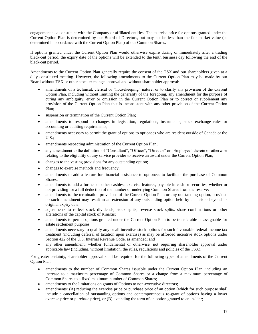engagement as a consultant with the Company or affiliated entities. The exercise price for options granted under the Current Option Plan is determined by our Board of Directors, but may not be less than the fair market value (as determined in accordance with the Current Option Plan) of our Common Shares.

If options granted under the Current Option Plan would otherwise expire during or immediately after a trading black-out period, the expiry date of the options will be extended to the tenth business day following the end of the black-out period.

Amendments to the Current Option Plan generally require the consent of the TSX and our shareholders given at a duly constituted meeting. However, the following amendments to the Current Option Plan may be made by our Board without TSX or other stock exchange approval and without shareholder approval:

- amendments of a technical, clerical or "housekeeping" nature, or to clarify any provision of the Current Option Plan, including without limiting the generality of the foregoing, any amendment for the purpose of curing any ambiguity, error or omission in the Current Option Plan or to correct or supplement any provision of the Current Option Plan that is inconsistent with any other provision of the Current Option Plan;
- suspension or termination of the Current Option Plan;
- amendments to respond to changes in legislation, regulations, instruments, stock exchange rules or accounting or auditing requirements;
- amendments necessary to permit the grant of options to optionees who are resident outside of Canada or the  $U.S.$ :
- amendments respecting administration of the Current Option Plan;
- any amendment to the definition of "Consultant", "Officer", "Director" or "Employee" therein or otherwise relating to the eligibility of any service provider to receive an award under the Current Option Plan;
- changes to the vesting provisions for any outstanding option;
- changes to exercise methods and frequency;
- amendments to add a feature for financial assistance to optionees to facilitate the purchase of Common Shares;
- amendments to add a further or other cashless exercise features, payable in cash or securities, whether or not providing for a full deduction of the number of underlying Common Shares from the reserve;
- amendments to the termination provisions of the Current Option Plan or any outstanding option, provided no such amendment may result in an extension of any outstanding option held by an insider beyond its original expiry date;
- adjustments to reflect stock dividends, stock splits, reverse stock splits, share combinations or other alterations of the capital stock of Kinaxis;
- amendments to permit options granted under the Current Option Plan to be transferable or assignable for estate settlement purposes;
- amendments necessary to qualify any or all incentive stock options for such favourable federal income tax treatment (including deferral of taxation upon exercise) as may be afforded incentive stock options under Section 422 of the U.S. Internal Revenue Code, as amended; and
- any other amendment, whether fundamental or otherwise, not requiring shareholder approval under applicable law (including, without limitation, the rules, regulations and policies of the TSX).

For greater certainty, shareholder approval shall be required for the following types of amendments of the Current Option Plan:

- amendments to the number of Common Shares issuable under the Current Option Plan, including an increase to a maximum percentage of Common Shares or a change from a maximum percentage of Common Shares to a fixed maximum number of Common Shares;
- amendments to the limitations on grants of Options to non-executive directors;
- amendments: (A) reducing the exercise price or purchase price of an option (which for such purpose shall include a cancellation of outstanding options and contemporaneous re-grant of options having a lower exercise price or purchase price), or (B) extending the term of an option granted to an insider;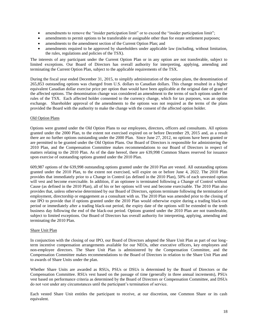- amendments to remove the "insider participation limit" or to exceed the "insider participation limit";
- amendments to permit options to be transferable or assignable other than for estate settlement purposes;
- amendments to the amendment section of the Current Option Plan; and
- amendments required to be approved by shareholders under applicable law (including, without limitation, the rules, regulations and policies of the TSX).

The interests of any participant under the Current Option Plan or in any option are not transferable, subject to limited exceptions. Our Board of Directors has overall authority for interpreting, applying, amending and terminating the Current Option Plan, subject to the applicable requirements of the TSX.

During the fiscal year ended December 31, 2015, to simplify administration of the option plans, the denomination of 265,853 outstanding options was changed from U.S. dollars to Canadian dollars. This change resulted in a higher equivalent Canadian dollar exercise price per option than would have been applicable at the original date of grant of the affected options. The denomination change was considered an amendment to the terms of such options under the rules of the TSX. Each affected holder consented to the currency change, which for tax purposes, was an option exchange. Shareholder approval of the amendments to the options was not required as the terms of the plans provided the Board with the authority to make the change with the consent of the affected option holder.

# Old Option Plans

Options were granted under the Old Option Plans to our employees, directors, officers and consultants. All options granted under the 2000 Plan, to the extent not exercised expired on or before December 29, 2015 and, as a result there are no further options outstanding under the 2000 Plan. Since June 27, 2012, no options have been granted or are permitted to be granted under the Old Option Plans. Our Board of Directors is responsible for administering the 2010 Plan, and the Compensation Committee makes recommendations to our Board of Directors in respect of matters relating to the 2010 Plan. As of the date hereof, there are 639,998 Common Shares reserved for issuance upon exercise of outstanding options granted under the 2010 Plan.

609,987 options of the 639,998 outstanding options granted under the 2010 Plan are vested. All outstanding options granted under the 2010 Plan, to the extent not exercised, will expire on or before June 4, 2022. The 2010 Plan provides that immediately prior to a Change in Control (as defined in the 2010 Plan), 50% of each unvested option will vest and become exercisable. In addition, if an optionee is terminated following a Change of Control without Cause (as defined in the 2010 Plan), all of his or her options will vest and become exercisable. The 2010 Plan also provides that, unless otherwise determined by our Board of Directors, options terminate following the termination of employment, directorship or engagement as a consultant with us. The 2010 Plan was amended prior to the closing of our IPO to provide that if options granted under the 2010 Plan would otherwise expire during a trading black-out period or immediately after a trading black-out period, the expiry date of the options will be extended to the tenth business day following the end of the black-out period. Options granted under the 2010 Plan are not transferable, subject to limited exceptions. Our Board of Directors has overall authority for interpreting, applying, amending and terminating the 2010 Plan.

# Share Unit Plan

In conjunction with the closing of our IPO, our Board of Directors adopted the Share Unit Plan as part of our longterm incentive compensation arrangements available for our NEOs, other executive officers, key employees and non-employee directors. The Share Unit Plan is administered by the Compensation Committee, and the Compensation Committee makes recommendations to the Board of Directors in relation to the Share Unit Plan and to awards of Share Units under the plan.

Whether Share Units are awarded as RSUs, PSUs or DSUs is determined by the Board of Directors or the Compensation Committee. RSUs vest based on the passage of time (generally in three annual increments), PSUs vest based on performance criteria as determined by the Board of Directors or Compensation Committee, and DSUs do not vest under any circumstances until the participant's termination of service.

Each vested Share Unit entitles the participant to receive, at our discretion, one Common Share or its cash equivalent.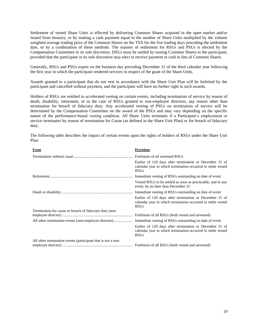Settlement of vested Share Units is effected by delivering Common Shares acquired in the open market and/or issued from treasury, or by making a cash payment equal to the number of Share Units multiplied by the volume weighted average trading price of the Common Shares on the TSX for the five trading days preceding the settlement date, or by a combination of these methods. The manner of settlement for RSUs and PSUs is elected by the Compensation Committee in its sole discretion. DSUs must be settled by issuing Common Shares to the participant, provided that the participant in its sole discretion may elect to receive payment in cash in lieu of Common Shares.

Generally, RSUs and PSUs expire on the business day preceding December 31 of the third calendar year following the first year in which the participant rendered services in respect of the grant of the Share Units.

Awards granted to a participant that do not vest in accordance with the Share Unit Plan will be forfeited by the participant and cancelled without payment, and the participant will have no further right in such awards.

Holders of RSUs are entitled to accelerated vesting on certain events, including termination of service by reason of death, disability, retirement, or in the case of RSUs granted to non-employee directors, any reason other than termination for breach of fiduciary duty. Any accelerated vesting of PSUs on termination of service will be determined by the Compensation Committee on the award of the PSUs and may vary depending on the specific nature of the performance-based vesting condition. All Share Units terminate if a Participant's employment or service terminates by reason of termination for Cause (as defined in the Share Unit Plan) or for breach of fiduciary duty.

The following table describes the impact of certain events upon the rights of holders of RSUs under the Share Unit Plan:

| Event                                                        | <b>Provisions</b>                                                                                                                      |
|--------------------------------------------------------------|----------------------------------------------------------------------------------------------------------------------------------------|
|                                                              | Forfeiture of all unvested RSUs                                                                                                        |
|                                                              | Earlier of 120 days after termination or December 31 of<br>calendar year in which termination occurred to settle vested<br><b>RSUs</b> |
|                                                              | Immediate vesting of RSUs outstanding on date of event                                                                                 |
|                                                              | Vested RSUs to be settled as soon as practicable, and in any<br>event, by no later than December 31                                    |
|                                                              | Immediate vesting of RSUs outstanding on date of event                                                                                 |
|                                                              | Earlier of 120 days after termination or December 31 of<br>calendar year in which termination occurred to settle vested<br><b>RSUs</b> |
| Termination for cause or breach of fiduciary duty (non-      |                                                                                                                                        |
|                                                              | Forfeiture of all RSUs (both vested and unvested)                                                                                      |
|                                                              | Immediate vesting of RSUs outstanding on date of event                                                                                 |
|                                                              | Earlier of 120 days after termination or December 31 of<br>calendar year in which termination occurred to settle vested<br><b>RSUs</b> |
| All other termination events (participant that is not a non- |                                                                                                                                        |
|                                                              | Forfeiture of all RSUs (both vested and unvested)                                                                                      |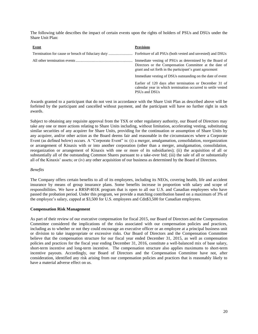The following table describes the impact of certain events upon the rights of holders of PSUs and DSUs under the Share Unit Plan:

| Event | <b>Provisions</b>                                                                                                                                                             |
|-------|-------------------------------------------------------------------------------------------------------------------------------------------------------------------------------|
|       |                                                                                                                                                                               |
|       | Immediate vesting of PSUs as determined by the Board of<br>Directors or the Compensation Committee at the date of<br>grant and set forth in the participant's grant agreement |
|       | Immediate vesting of DSUs outstanding on the date of event                                                                                                                    |
|       | Earlier of 120 days after termination or December 31 of<br>calendar year in which termination occurred to settle vested<br>PSUs and DSUs                                      |

Awards granted to a participant that do not vest in accordance with the Share Unit Plan as described above will be forfeited by the participant and cancelled without payment, and the participant will have no further right in such awards.

Subject to obtaining any requisite approval from the TSX or other regulatory authority, our Board of Directors may take any one or more actions relating to Share Units including, without limitation, accelerating vesting, substituting similar securities of any acquirer for Share Units, providing for the continuation or assumption of Share Units by any acquirer, and/or other action as the Board deems fair and reasonable in the circumstances where a Corporate Event (as defined below) occurs. A "Corporate Event" is: (i) a merger, amalgamation, consolidation, reorganization or arrangement of Kinaxis with or into another corporation (other than a merger, amalgamation, consolidation, reorganization or arrangement of Kinaxis with one or more of its subsidiaries); (ii) the acquisition of all or substantially all of the outstanding Common Shares pursuant to a take-over bid; (iii) the sale of all or substantially all of the Kinaxis' assets; or (iv) any other acquisition of our business as determined by the Board of Directors.

# *Benefits*

The Company offers certain benefits to all of its employees, including its NEOs, covering health, life and accident insurance by means of group insurance plans. Some benefits increase in proportion with salary and scope of responsibilities. We have a RRSP/401K program that is open to all our U.S. and Canadian employees who have passed the probation period. Under this program, we provide a matching contribution based on a maximum of 3% of the employee's salary, capped at \$3,500 for U.S. employees and Cdn\$3,500 for Canadian employees.

# **Compensation Risk Management**

As part of their review of our executive compensation for fiscal 2015, our Board of Directors and the Compensation Committee considered the implications of the risks associated with our compensation policies and practices, including as to whether or not they could encourage an executive officer or an employee at a principal business unit or division to take inappropriate or excessive risks. Our Board of Directors and the Compensation Committee believe that the compensation structure for our fiscal year ended December 31, 2015, as well as compensation policies and practices for the fiscal year ending December 31, 2016, constitute a well-balanced mix of base salary, short-term incentive and long-term incentive. The compensation structure also applies maximums to short-term incentive payouts. Accordingly, our Board of Directors and the Compensation Committee have not, after consideration, identified any risk arising from our compensation policies and practices that is reasonably likely to have a material adverse effect on us.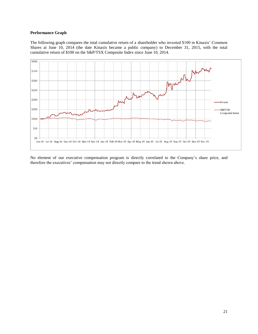# **Performance Graph**

The following graph compares the total cumulative return of a shareholder who invested \$100 in Kinaxis' Common Shares at June 10, 2014 (the date Kinaxis became a public company) to December 31, 2015, with the total cumulative return of \$100 on the S&P/TSX Composite Index since June 10, 2014.



No element of our executive compensation program is directly correlated to the Company's share price, and therefore the executives' compensation may not directly compare to the trend shown above.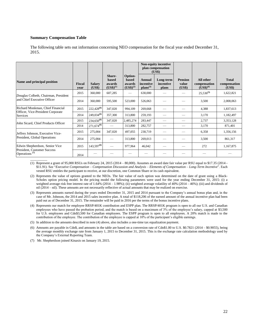#### **Summary Compensation Table**

The following table sets out information concerning NEO compensation for the fiscal year ended December 31, 2015.

|                                                          |                       |                         |                                            |                                             |                                               | <b>Non-equity incentive</b><br>plan compensation<br>(US\$) |                                   |                                            |                                        |
|----------------------------------------------------------|-----------------------|-------------------------|--------------------------------------------|---------------------------------------------|-----------------------------------------------|------------------------------------------------------------|-----------------------------------|--------------------------------------------|----------------------------------------|
| Name and principal position                              | <b>Fiscal</b><br>vear | <b>Salary</b><br>(US\$) | Share-<br>based<br>awards<br>$(US$)^{(1)}$ | Option-<br>based<br>awards<br>$(US$)^{(2)}$ | Annual<br>incentive<br>$\mathbf{plans}^{(3)}$ | Long-term<br>incentive<br>plans                            | <b>Pension</b><br>value<br>(US\$) | All other<br>compensation<br>$(US$)^{(4)}$ | <b>Total</b><br>compensation<br>(US\$) |
| Douglas Colbeth, Chairman, President                     | 2015                  | 360,000                 | 607,285                                    |                                             | 630,000                                       |                                                            |                                   | $25,536^{(5)}$                             | 1,622,821                              |
| and Chief Executive Officer                              | 2014                  | 360,000                 | 595,500                                    | 523,000                                     | 526,063                                       |                                                            |                                   | 3,500                                      | 2,008,063                              |
| Richard Monkman, Chief Financial                         | 2015                  | $222,428^{(6)}$         | 347,020                                    | 994,109                                     | 269,668                                       |                                                            |                                   | 4,388                                      | 1,837,613                              |
| Officer, Vice-President Corporate<br><b>Services</b>     | 2014                  | $249,034^{(6)}$         | 357,300                                    | 313,800                                     | 259,193                                       |                                                            |                                   | 3,170                                      | 1,182,497                              |
| John Sicard, Chief Products Officer                      | 2015                  | $234,650^{(6)}$         | 347,020                                    | 2,485,274                                   | 283,447                                       |                                                            |                                   | 2,737                                      | 3,353,128                              |
|                                                          | 2014                  | $271,674^{(6)}$         |                                            | 313,800                                     | 282,757                                       | --                                                         |                                   | 3,170                                      | 871,401                                |
| Jeffrey Johnson, Executive Vice-                         | 2015                  | 275,004                 | 347,020                                    | 497,055                                     | 230,719                                       |                                                            |                                   | 6,358                                      | 1,356,156                              |
| President, Global Operations                             | 2014                  | 275,004                 |                                            | 313,800                                     | 269,013                                       |                                                            |                                   | 3,500                                      | 861,317                                |
| Edwin Shepherdson, Senior Vice                           | 2015                  | $143,597^{(6)}$         |                                            | 977,964                                     | 46,042                                        |                                                            |                                   | 272                                        | 1,167,875                              |
| President, Customer Success<br>Operations <sup>(7)</sup> | 2014                  |                         |                                            |                                             |                                               |                                                            |                                   |                                            |                                        |

 $\mathcal{L}$ (1) Represent a grant of 95,000 RSUs on February 24, 2015 (2014 – 80,000). Assumes an award date fair value per RSU equal to \$17.35 (2014 - \$11.91). See "*Executive Compensation – Compensation Discussion and Analysis – Elements of Compensation – Long-Term Incentive*". Each vested RSU entitles the participant to receive, at our discretion, one Common Share or its cash equivalent.

(2) Represents the value of options granted to the NEOs. The fair value of each option was determined on the date of grant using a Black-Scholes option pricing model. In the pricing model the following parameters were used for the year ending December 31, 2015: (i) a weighted average risk free interest rate of 1.64% (2014 – 1.98%); (ii) weighted average volatility of 40% (2014 – 46%); (iii) and dividends of nil (2014 – nil). These amounts are not necessarily reflective of actual amounts that may be realized on exercise.

(3) Represents amounts earned during the years ended December 31, 2015 and 2014 pursuant to the Company's annual bonus plan and, in the case of Mr. Johnson, the 2014 and 2015 sales incentive plan. A total of \$118,206 of the earned amount of the annual incentive plan had been paid out as of December 31, 2015. The remainder will be paid in 2016 per the terms of the bonus incentive plans.

(4) Represents our match for employee RRSP/401K contribution and ESPP plan. The RRSP/401K program is open to all our U.S. and Canadian employees who have passed the probation period, and the match is based on a maximum of 3% of the employee's salary, capped at \$3,500 for U.S. employees and Cdn\$3,500 for Canadian employees. The ESPP program is open to all employees. A 20% match is made to the contribution of the employee. The contribution of the employee is capped at 10% of the participant's eligible earnings.

(5) In addition to the amounts described in note (4) above, also includes a one-time tax equalization payment.

(6) Amounts are payable in Cdn\$, and amounts in the table are based on a conversion rate of Cdn\$1.00 to U.S. \$0.7821 (2014 – \$0.9055), being the average monthly exchange rate from January 1, 2015 to December 31, 2015. This is the exchange rate calculation methodology used by the Company's External Reporting Team.

(7) Mr. Shepherdson joined Kinaxis on January 19, 2015.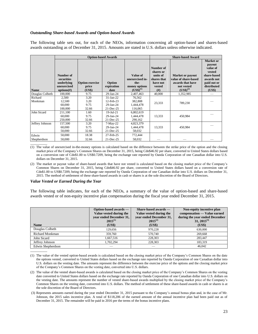# *Outstanding Share-based Awards and Option-based Awards*

The following table sets out, for each of the NEOs, information concerning all option-based and shares-based awards outstanding as of December 31, 2015. Amounts are stated in U.S. dollars unless otherwise indicated.

|                      |                                                                    | <b>Option-based Awards</b>                |                                                           |                                                                             |                                                                                 | <b>Share-based Award</b>                                                                           |                                                                                                                       |  |  |
|----------------------|--------------------------------------------------------------------|-------------------------------------------|-----------------------------------------------------------|-----------------------------------------------------------------------------|---------------------------------------------------------------------------------|----------------------------------------------------------------------------------------------------|-----------------------------------------------------------------------------------------------------------------------|--|--|
| <b>Name</b>          | Number of<br>securities<br>underlying<br>unexercised<br>options(f) | <b>Option exercise</b><br>price<br>(US\$) | Option<br>expiration<br>date                              | Value of<br>unexercised in-<br>the-<br>money options<br>$(US\bar{S})^{(1)}$ | Number of<br>shares or<br>units of<br>shares that<br>have not<br>vested<br>(# ) | <b>Market or payout</b><br>value of share-based<br>awards that have<br>not vested<br>$(US$)^{(2)}$ | <b>Market</b> or<br>payout<br>value of<br>vested<br>share-based<br>awards not<br>paid out or<br>distributed<br>(US\$) |  |  |
| Douglas Colbeth      | 100,000                                                            | 9.75                                      | 29-Jan-24                                                 | 2,407,463                                                                   | 40,000                                                                          | 1,352,985                                                                                          |                                                                                                                       |  |  |
| Richard<br>Monkman   | 2,500<br>12,500<br>60,000<br>100,000                               | 3.20<br>3.20<br>9.75<br>32.66             | 31-Jan-22<br>12-Feb-23<br>$29$ -Jan- $24$<br>$21$ -Dec-25 | 76,562<br>382,808<br>1,444,478<br>116,065                                   | 23,333                                                                          | 789,230                                                                                            |                                                                                                                       |  |  |
| John Sicard          | 211,100<br>60,000<br>250,000                                       | 1.60<br>9.75<br>32.66                     | 19-Jul-21<br>$29$ -Jan- $24$<br>$21$ -Dec-25              | 6,802,619<br>1,444,478<br>290,162                                           | 13,333                                                                          | 450,984                                                                                            |                                                                                                                       |  |  |
| Jeffrey Johnson      | 157,500<br>60,000<br>50,000                                        | 3.20<br>9.75<br>32.66                     | $7-May-22$<br>29-Jan-24<br>$21$ -Dec-25                   | 4,823,379<br>1,444,478<br>58,032                                            | 13,333                                                                          | 450,984                                                                                            |                                                                                                                       |  |  |
| Edwin<br>Shepherdson | 50,000<br>50,000                                                   | 18.38<br>32.66                            | 27-Feb-25<br>21-Dec-25                                    | 772,444<br>58,032                                                           |                                                                                 |                                                                                                    |                                                                                                                       |  |  |

(1) The value of unexercised in-the-money options is calculated based on the difference between the strike price of the option and the closing market price of the Company's Common Shares on December 31, 2015, being Cdn\$46.92 per share, converted to United States dollars based on a conversion rate of Cdn\$1.00 to US\$0.7209, being the exchange rate reported by Oanda Corporation of one Canadian dollar into U.S. dollars on December 31, 2015.

#### *Value Vested or Earned During the Year*

 $\mathcal{L}$ 

 $\overline{\phantom{a}}$  , where  $\overline{\phantom{a}}$ 

The following table indicates, for each of the NEOs, a summary of the value of option-based and share-based awards vested or of non-equity incentive plan compensation during the fiscal year ended December 31, 2015.

| <b>Name</b>            | Option-based awards —<br>Value vested during the<br>vear ended December 31,<br>$2015^{(1)}$<br>(US\$) | $Share-based$ awards $-$<br>Value vested during the<br>vear ended December 31,<br>$2015^{(2)}$<br>(US\$) | Non-equity incentive plan<br>compensation — Value earned<br>during the year ended December<br>$31, 2015^{(3)}$<br>(US\$) |
|------------------------|-------------------------------------------------------------------------------------------------------|----------------------------------------------------------------------------------------------------------|--------------------------------------------------------------------------------------------------------------------------|
| Douglas Colbeth        | 129.656                                                                                               | 970.228                                                                                                  | 630,000                                                                                                                  |
| <b>Richard Monkman</b> | 359,760                                                                                               | 570,740                                                                                                  | 269,668                                                                                                                  |
| John Sicard            | 1,667,516                                                                                             | 228,303                                                                                                  | 283,447                                                                                                                  |
| Jeffrey Johnson        | 1.702.294                                                                                             | 228,303                                                                                                  | 183.319                                                                                                                  |
| Edwin Shepherdson      |                                                                                                       |                                                                                                          | 46.042                                                                                                                   |

<sup>(1)</sup> The value of the vested option-based awards is calculated based on the closing market price of the Company's Common Shares on the date the options vested, converted to United States dollars based on the exchange rate reported by Oanda Corporation of one Canadian dollar into U.S. dollars on the vesting date. The amounts represent the difference between the exercise price of the options and the closing market price of the Company's Common Shares on the vesting date, converted into U.S. dollars.

(3) Represents amounts earned during the year ended December 31, 2015 pursuant to the Company's annual bonus plan and, in the case of Mr. Johnson, the 2015 sales incentive plan. A total of \$118,206 of the earned amount of the annual incentive plan had been paid out as of December 31, 2015. The remainder will be paid in 2016 per the terms of the bonus incentive plans.

<sup>(2)</sup> The market or payout value of share-based awards that have not vested is calculated based on the closing market price of the Company's Common Shares on December 31, 2015, being Cdn\$46.92 per share, converted to United States dollars based on a conversion rate of Cdn\$1.00 to US\$0.7209, being the exchange rate reported by Oanda Corporation of one Canadian dollar into U.S. dollars on December 31, 2015. The method of settlement of these share-based awards in cash or shares is at the sole discretion of the Board of Directors.

<sup>(2)</sup> The value of the vested share-based awards is calculated based on the closing market price of the Company's Common Shares on the vesting date converted to United States dollars based on the exchange rate reported by Oanda Corporation of one Canadian dollar into U.S. dollars on the vesting date. The amounts represent the number of vested share-based awards multiplied by the closing market price of the Company's Common Shares on the vesting date, converted into U.S. dollars. The method of settlement of these share-based awards in cash or shares is at the sole discretion of the Board of Directors.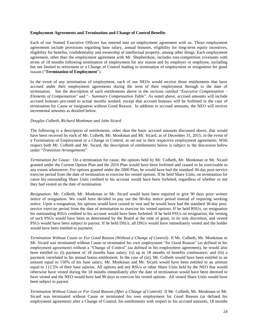# **Employment Agreements and Termination and Change of Control Benefits**

Each of our Named Executive Officers has entered into an employment agreement with us. Those employment agreements include provisions regarding base salary, annual bonuses, eligibility for long-term equity incentives, eligibility for benefits, confidentiality and ownership of intellectual property, among other things. Each employment agreement, other than the employment agreement with Mr. Shepherdson, includes non-competition covenants with terms of 18 months following termination of employment for any reason and by employer or employee, including but not limited to retirement or a Change of Control leading to termination of employment or resignation for good reason ("**Termination of Employment**").

In the event of any termination of employment, each of our NEOs would receive those entitlements that have accrued under their employment agreements during the term of their employment through to the date of termination. See the description of such entitlements above in the sections entitled "*Executive Compensation – Elements of Compensation*" and "– *Summary Compensation Table*". As noted above, accrued amounts will include accrued bonuses pro-rated to actual months worked, except that accrued bonuses will be forfeited in the case of termination for Cause or resignation without Good Reason. In addition to accrued amounts, the NEO will receive incremental amounts as detailed below.

# *Douglas Colbeth, Richard Monkman and John Sicard*

The following is a description of entitlements, other than the basic accrued amounts discussed above, that would have been received by each of Mr. Colbeth, Mr. Monkman and Mr. Sicard, as of December 31, 2015, in the event of a Termination of Employment or a Change in Control, as set out in their respective employment agreements. With respect both Mr. Colbeth and Mr. Sicard, the description of entitlements below is subject to the discussion below under "*Transition Arrangements*".

*Termination for Cause:* On a termination for cause, the options held by Mr. Colbeth, Mr. Monkman or Mr. Sicard granted under the Current Option Plan and the 2010 Plan would have been forfeited and ceased to be exercisable to any extent whatsoever. For options granted under the 2000 Plan, he would have had the standard 30-day post-service exercise period from the date of termination to exercise his vested options. If he held Share Units, on termination for cause his outstanding Share Units credited to his account would have been forfeited, regardless of whether or not they had vested on the date of termination.

*Resignation:* Mr. Colbeth, Mr. Monkman or Mr. Sicard would have been required to give 90 days prior written notice of resignation. We could have decided to pay out the 90-day notice period instead of requiring working notice. Upon a resignation, his options would have ceased to vest and he would have had the standard 30-day postservice exercise period from the date of termination to exercise his vested options. If he held RSUs, on resignation his outstanding RSUs credited to his account would have been forfeited. If he held PSUs on resignation, the vesting of such PSUs would have been as determined by the Board at the time of grant, in its sole discretion, and vested PSUs would have been subject to payout. If he held DSUs, all DSUs would have immediately vested and the holder would have been entitled to payment.

*Termination Without Cause or For Good Reason (Without a Change of Control):* If Mr. Colbeth, Mr. Monkman or Mr. Sicard was terminated without Cause or terminated his own employment "for Good Reason" (as defined in his employment agreement) without a "Change of Control" (as defined in his employment agreement), he would also been entitled to: (i) payment of 18 months base salary; (ii) up to 18 months of benefits continuance; and (iii) a payment correlated to his annual bonus entitlement. In the case of (iii), Mr. Colbeth would have been entitled to an amount equal to 150% of his base salary, Mr. Monkman and Mr. Sicard would have been entitled to an amount equal to 112.5% of their base salaries. All options and any RSUs or other Share Units held by the NEO that would otherwise have vested during the 18 months immediately after the date of termination would have been deemed to have vested and the NEO would have had 90 days to exercise his vested options. All vested Share Units would have been subject to payout.

*Termination Without Cause or For Good Reason (After a Change of Control):* If Mr. Colbeth, Mr. Monkman or Mr. Sicard was terminated without Cause or terminated his own employment for Good Reason (as defined his employment agreement) after a Change of Control, his entitlements with respect to his accrued amounts, 18 months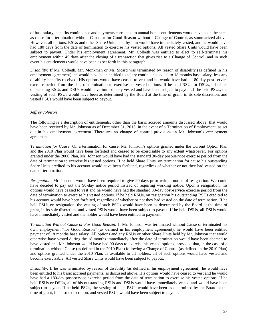of base salary, benefits continuance and payments correlated to annual bonus entitlements would have been the same as those for a termination without Cause or for Good Reason without a Change of Control, as summarized above. However, all options, RSUs and other Share Units held by him would have immediately vested, and he would have had 180 days from the date of termination to exercise his vested options. All vested Share Units would have been subject to payout. Under his employment agreement, Mr. Colbeth was entitled to elect to self-terminate his employment within 45 days after the closing of a transaction that gives rise to a Change of Control, and in such event his entitlements would have been as set forth in this paragraph.

*Disability:* If Mr. Colbeth, Mr. Monkman or Mr. Sicard was terminated by reason of disability (as defined in his employment agreement), he would have been entitled to salary continuance equal to 18 months base salary, less any disability benefits received. His options would have ceased to vest and he would have had a 180-day post-service exercise period from the date of termination to exercise his vested options. If he held RSUs or DSUs, all of his outstanding RSUs and DSUs would have immediately vested and have been subject to payout. If he held PSUs, the vesting of such PSUs would have been as determined by the Board at the time of grant, in its sole discretion, and vested PSUs would have been subject to payout.

# *Jeffrey Johnson*

The following is a description of entitlements, other than the basic accrued amounts discussed above, that would have been received by Mr. Johnson as of December 31, 2015, in the event of a Termination of Employment, as set out in his employment agreement. There are no change of control provisions in Mr. Johnson's employment agreement.

*Termination for Cause:* On a termination for cause, Mr. Johnson's options granted under the Current Option Plan and the 2010 Plan would have been forfeited and ceased to be exercisable to any extent whatsoever. For options granted under the 2000 Plan, Mr. Johnson would have had the standard 30-day post-service exercise period from the date of termination to exercise his vested options. If he held Share Units, on termination for cause his outstanding Share Units credited to his account would have been forfeited, regardless of whether or not they had vested on the date of termination.

*Resignation:* Mr. Johnson would have been required to give 90 days prior written notice of resignation. We could have decided to pay out the 90-day notice period instead of requiring working notice. Upon a resignation, his options would have ceased to vest and he would have had the standard 30-day post-service exercise period from the date of termination to exercise his vested options. If he held RSUs, on resignation his outstanding RSUs credited to his account would have been forfeited, regardless of whether or not they had vested on the date of termination. If he held PSUs on resignation, the vesting of such PSUs would have been as determined by the Board at the time of grant, in its sole discretion, and vested PSUs would have been subject to payout. If he held DSUs, all DSUs would have immediately vested and the holder would have been entitled to payment.

*Termination Without Cause or For Good Reason:* If Mr. Johnson was terminated without Cause or terminated his own employment "for Good Reason" (as defined in his employment agreement), he would have been entitled payment of 18 months base salary. All options and any RSUs or other Share Units held by Mr. Johnson that would otherwise have vested during the 18 months immediately after the date of termination would have been deemed to have vested and Mr. Johnson would have had 90 days to exercise his vested options, provided that, in the case of a termination without Cause (as defined in the 2010 Plan) following a Change of Control (as defined in the 2010 Plan) and options granted under the 2010 Plan, as available to all holders, all of such options would have vested and become exercisable. All vested Share Units would have been subject to payout.

*Disability:* If he was terminated by reason of disability (as defined in his employment agreement), he would have been entitled to his basic accrued payments, as discussed above. His options would have ceased to vest and he would have had a 180-day post-service exercise period from the date of termination to exercise his vested options. If he held RSUs or DSUs, all of his outstanding RSUs and DSUs would have immediately vested and would have been subject to payout. If he held PSUs, the vesting of such PSUs would have been as determined by the Board at the time of grant, in its sole discretion, and vested PSUs would have been subject to payout.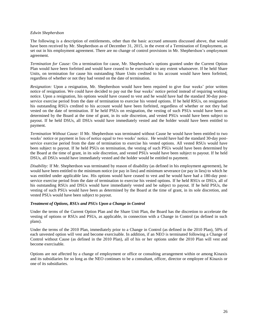# *Edwin Shepherdson*

The following is a description of entitlements, other than the basic accrued amounts discussed above, that would have been received by Mr. Shepherdson as of December 31, 2015, in the event of a Termination of Employment, as set out in his employment agreement. There are no change of control provisions in Mr. Shepherdson's employment agreement.

*Termination for Cause:* On a termination for cause, Mr. Shepherdson's options granted under the Current Option Plan would have been forfeited and would have ceased to be exercisable to any extent whatsoever. If he held Share Units, on termination for cause his outstanding Share Units credited to his account would have been forfeited, regardless of whether or not they had vested on the date of termination.

*Resignation:* Upon a resignation, Mr. Shepherdson would have been required to give four weeks' prior written notice of resignation. We could have decided to pay out the four weeks' notice period instead of requiring working notice. Upon a resignation, his options would have ceased to vest and he would have had the standard 30-day postservice exercise period from the date of termination to exercise his vested options. If he held RSUs, on resignation his outstanding RSUs credited to his account would have been forfeited, regardless of whether or not they had vested on the date of termination. If he held PSUs on resignation, the vesting of such PSUs would have been as determined by the Board at the time of grant, in its sole discretion, and vested PSUs would have been subject to payout. If he held DSUs, all DSUs would have immediately vested and the holder would have been entitled to payment.

*Termination Without Cause:* If Mr. Shepherdson was terminated without Cause he would have been entitled to two weeks' notice or payment in lieu of notice equal to two weeks' notice. He would have had the standard 30-day postservice exercise period from the date of termination to exercise his vested options. All vested RSUs would have been subject to payout. If he held PSUs on termination, the vesting of such PSUs would have been determined by the Board at the time of grant, in its sole discretion, and vested PSUs would have been subject to payout. If he held DSUs, all DSUs would have immediately vested and the holder would be entitled to payment.

*Disability:* If Mr. Shepherdson was terminated by reason of disability (as defined in his employment agreement), he would have been entitled to the minimum notice (or pay in lieu) and minimum severance (or pay in lieu) to which he was entitled under applicable law. His options would have ceased to vest and he would have had a 180-day postservice exercise period from the date of termination to exercise his vested options. If he held RSUs or DSUs, all of his outstanding RSUs and DSUs would have immediately vested and be subject to payout. If he held PSUs, the vesting of such PSUs would have been as determined by the Board at the time of grant, in its sole discretion, and vested PSUs would have been subject to payout.

# *Treatment of Options, RSUs and PSUs Upon a Change in Control*

Under the terms of the Current Option Plan and the Share Unit Plan, the Board has the discretion to accelerate the vesting of options or RSUs and PSUs, as applicable, in connection with a Change in Control (as defined in such plans).

Under the terms of the 2010 Plan, immediately prior to a Change in Control (as defined in the 2010 Plan), 50% of each unvested option will vest and become exercisable. In addition, if an NEO is terminated following a Change of Control without Cause (as defined in the 2010 Plan), all of his or her options under the 2010 Plan will vest and become exercisable.

Options are not affected by a change of employment or office or consulting arrangement within or among Kinaxis and its subsidiaries for so long as the NEO continues to be a consultant, officer, director or employee of Kinaxis or one of its subsidiaries.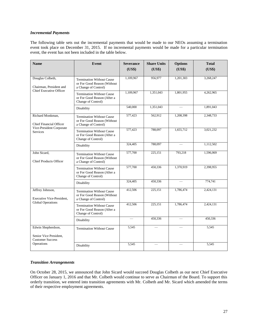# *Incremental Payments*

The following table sets out the incremental payments that would be made to our NEOs assuming a termination event took place on December 31, 2015. If no incremental payments would be made for a particular termination event, the event has not been included in the table below.

| <b>Name</b>                                                             | Event                                                                                   | <b>Severance</b><br>(US\$) | <b>Share Units</b><br>(US\$) | <b>Options</b><br>(US\$) | <b>Total</b><br>(US\$) |
|-------------------------------------------------------------------------|-----------------------------------------------------------------------------------------|----------------------------|------------------------------|--------------------------|------------------------|
|                                                                         |                                                                                         |                            |                              |                          |                        |
| Douglas Colbeth,<br>Chairman, President and                             | <b>Termination Without Cause</b><br>or For Good Reason (Without<br>a Change of Control) | 1,109,967                  | 956,977                      | 1,201,303                | 3,268,247              |
| <b>Chief Executive Officer</b>                                          | <b>Termination Without Cause</b><br>or For Good Reason (After a<br>Change of Control)   | 1,109,967                  | 1,351,043                    | 1,801,955                | 4,262,965              |
|                                                                         | Disability                                                                              | 540,000                    | 1,351,043                    |                          | 1,891,043              |
| Richard Monkman,<br><b>Chief Financial Officer</b>                      | <b>Termination Without Cause</b><br>or For Good Reason (Without<br>a Change of Control) | 577,423                    | 562,912                      | 1,208,398                | 2,348,733              |
| Vice-President Corporate<br><b>Services</b>                             | <b>Termination Without Cause</b><br>or For Good Reason (After a<br>Change of Control)   | 577,423                    | 788,097                      | 1,655,712                | 3,021,232              |
|                                                                         | Disability                                                                              | 324,405                    | 788,097                      |                          | 1,112,502              |
| John Sicard,<br><b>Chief Products Officer</b>                           | <b>Termination Without Cause</b><br>or For Good Reason (Without<br>a Change of Control) | 577,700                    | 225,151                      | 793,218                  | 1,596,069              |
|                                                                         | <b>Termination Without Cause</b><br>or For Good Reason (After a<br>Change of Control)   | 577,700                    | 450,336                      | 1,370,919                | 2,398,955              |
|                                                                         | Disability                                                                              | 324,405                    | 450,336                      |                          | 774.741                |
| Jeffrey Johnson,<br>Executive Vice-President,                           | <b>Termination Without Cause</b><br>or For Good Reason (Without<br>a Change of Control) | 412,506                    | 225,151                      | 1,786,474                | 2,424,131              |
| <b>Global Operations</b>                                                | <b>Termination Without Cause</b><br>or For Good Reason (After a<br>Change of Control)   | 412,506                    | 225,151                      | 1,786,474                | 2,424,131              |
|                                                                         | Disability                                                                              | $\overline{\phantom{0}}$   | 450,336                      | $\overline{\phantom{0}}$ | 450,336                |
| Edwin Shepherdson,<br>Senior Vice President.<br><b>Customer Success</b> | <b>Termination Without Cause</b>                                                        | 5.545                      |                              |                          | 5,545                  |
| Operations                                                              | Disability                                                                              | 5.545                      |                              |                          | 5.545                  |

# *Transition Arrangements*

On October 28, 2015, we announced that John Sicard would succeed Douglas Colbeth as our next Chief Executive Officer on January 1, 2016 and that Mr. Colbeth would continue to serve as Chairman of the Board. To support this orderly transition, we entered into transition agreements with Mr. Colbeth and Mr. Sicard which amended the terms of their respective employment agreements.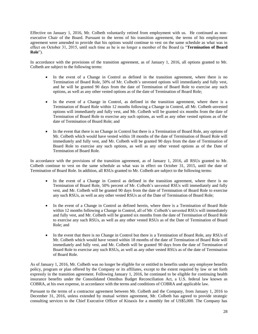Effective on January 1, 2016, Mr. Colbeth voluntarily retired from employment with us. He continued as nonexecutive Chair of the Board. Pursuant to the terms of his transition agreement, the terms of his employment agreement were amended to provide that his options would continue to vest on the same schedule as what was in effect on October 31, 2015, until such time as he is no longer a member of the Board (a "**Termination of Board Role**").

In accordance with the provisions of the transition agreement, as of January 1, 2016, all options granted to Mr. Colbeth are subject to the following terms:

- In the event of a Change in Control as defined in the transition agreement, where there is no Termination of Board Role, 50% of Mr. Colbeth's unvested options will immediately and fully vest, and he will be granted 90 days from the date of Termination of Board Role to exercise any such options, as well as any other vested options as of the date of Termination of Board Role;
- In the event of a Change in Control, as defined in the transition agreement, where there is a Termination of Board Role within 12 months following a Change in Control, all Mr. Colbeth unvested options will immediately and fully vest, and Mr. Colbeth will be granted six months from the date of Termination of Board Role to exercise any such options, as well as any other vested options as of the date of Termination of Board Role; and
- In the event that there is no Change in Control but there is a Termination of Board Role, any options of Mr. Colbeth which would have vested within 18 months of the date of Termination of Board Role will immediately and fully vest, and Mr. Colbeth will be granted 90 days from the date of Termination of Board Role to exercise any such options, as well as any other vested options as of the Date of Termination of Board Role.

In accordance with the provisions of the transition agreement, as of January 1, 2016, all RSUs granted to Mr. Colbeth continue to vest on the same schedule as what was in effect on October 31, 2015, until the date of Termination of Board Role. In addition, all RSUs granted to Mr. Colbeth are subject to the following terms:

- In the event of a Change in Control as defined in the transition agreement, where there is no Termination of Board Role, 50% percent of Mr. Colbeth's unvested RSUs will immediately and fully vest, and Mr. Colbeth will be granted 90 days from the date of Termination of Board Role to exercise any such RSUs, as well as any other vested RSUs as of the Date of Termination of Board Role;
- In the event of a Change in Control as defined herein, where there is a Termination of Board Role within 12 months following a Change in Control, all of Mr. Colbeth's unvested RSUs will immediately and fully vest, and Mr. Colbeth will be granted six months from the date of Termination of Board Role to exercise any such RSUs, as well as any other vested RSUs as of the Date of Termination of Board Role; and
- In the event that there is no Change in Control but there is a Termination of Board Role, any RSUs of Mr. Colbeth which would have vested within 18 months of the date of Termination of Board Role will immediately and fully vest, and Mr. Colbeth will be granted 90 days from the date of Termination of Board Role to exercise any such RSUs, as well as any other vested RSUs as of the date of Termination of Board Role.

As of January 1, 2016, Mr. Colbeth was no longer be eligible for or entitled to benefits under any employee benefits policy, program or plan offered by the Company or its affiliates, except to the extent required by law or set forth expressly in the transition agreement. Following January 1, 2016, he continued to be eligible for continuing health insurance benefits under the Consolidated Omnibus Budget Reconciliation Act, a U.S. federal law known as COBRA, at his own expense, in accordance with the terms and conditions of COBRA and applicable law.

Pursuant to the terms of a contractor agreement between Mr. Colbeth and the Company, from January 1, 2016 to December 31, 2016, unless extended by mutual written agreement, Mr. Colbeth has agreed to provide strategic consulting services to the Chief Executive Officer of Kinaxis for a monthly fee of US\$5,000. The Company has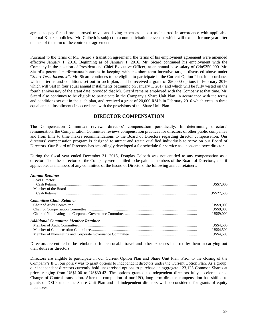agreed to pay for all pre-approved travel and living expenses at cost as incurred in accordance with applicable internal Kinaxis policies. Mr. Colbeth is subject to a non-solicitation covenant which will extend for one year after the end of the term of the contractor agreement.

Pursuant to the terms of Mr. Sicard's transition agreement, the terms of his employment agreement were amended effective January 1, 2016. Beginning as of January 1, 2016, Mr. Sicard continued his employment with the Company in the position of President and Chief Executive Officer, at an annual base salary of Cdn\$350,000. Mr. Sicard's potential performance bonus is in keeping with the short-term incentive targets discussed above under "*Short Term Incentive*". Mr. Sicard continues to be eligible to participate in the Current Option Plan, in accordance with the terms and conditions set out in such plan, and he received a grant of 250,000 options in February 2016 which will vest in four equal annual installments beginning on January 1, 2017 and which will be fully vested on the fourth anniversary of the grant date, provided that Mr. Sicard remains employed with the Company at that time. Mr. Sicard also continues to be eligible to participate in the Company's Share Unit Plan, in accordance with the terms and conditions set out in the such plan, and received a grant of 20,000 RSUs in February 2016 which vests in three equal annual installments in accordance with the provisions of the Share Unit Plan.

# **DIRECTOR COMPENSATION**

The Compensation Committee reviews directors' compensation periodically. In determining directors' remuneration, the Compensation Committee reviews compensation practices for directors of other public companies and from time to time makes recommendations to the Board of Directors regarding director compensation. Our directors' compensation program is designed to attract and retain qualified individuals to serve on our Board of Directors. Our Board of Directors has accordingly developed a fee schedule for service as a non-employee director.

During the fiscal year ended December 31, 2015, Douglas Colbeth was not entitled to any compensation as a director. The other directors of the Company were entitled to be paid as members of the Board of Directors, and, if applicable, as members of any committee of the Board of Directors, the following annual retainers:

| <b>Annual Retainer</b>                      |            |
|---------------------------------------------|------------|
| Lead Director                               |            |
|                                             | US\$7,000  |
| Member of the Board                         |            |
|                                             | US\$27,500 |
| <b>Committee Chair Retainer</b>             |            |
|                                             | US\$9,000  |
|                                             | US\$9,000  |
|                                             | US\$9,000  |
| <b>Additional Committee Member Retainer</b> |            |
|                                             | US\$4,500  |
|                                             | US\$4,500  |
|                                             | US\$4.500  |

Directors are entitled to be reimbursed for reasonable travel and other expenses incurred by them in carrying out their duties as directors.

Directors are eligible to participate in our Current Option Plan and Share Unit Plan. Prior to the closing of the Company's IPO, our policy was to grant options to independent directors under the Current Option Plan. As a group, our independent directors currently hold unexercised options to purchase an aggregate 123,125 Common Shares at prices ranging from US\$1.00 to US\$30.43. The options granted to independent directors fully accelerate on a Change of Control transaction. After the completion of our IPO, long-term director compensation has shifted to grants of DSUs under the Share Unit Plan and all independent directors will be considered for grants of equity incentives.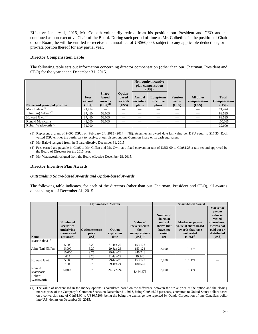Effective January 1, 2016, Mr. Colbeth voluntarily retired from his position our President and CEO and he continued as non-executive Chair of the Board. During such period of time as Mr. Colbeth is in the position of Chair of our Board, he will be entitled to receive an annual fee of US\$60,000, subject to any applicable deductions, or a pro-rata portion thereof for any partial year.

# **Director Compensation Table**

The following table sets out information concerning director compensation (other than our Chairman, President and CEO) for the year ended December 31, 2015.

|                                 |                                 |                                            |                                      |                              | Non-equity incentive<br>plan compensation<br>(US\$) |                                   |                                     |                                        |
|---------------------------------|---------------------------------|--------------------------------------------|--------------------------------------|------------------------------|-----------------------------------------------------|-----------------------------------|-------------------------------------|----------------------------------------|
| Name and principal position     | <b>Fees</b><br>earned<br>(US\$) | Share-<br>based<br>awards<br>$(US$)^{(1)}$ | Option-<br>based<br>awards<br>(US\$) | Annual<br>incentive<br>plans | Long-term<br>incentive<br>plans                     | <b>Pension</b><br>value<br>(US\$) | All other<br>compensation<br>(US\$) | <b>Total</b><br>Compensation<br>(US\$) |
| Marc Balevi <sup>(2)</sup>      | 21,474                          |                                            |                                      |                              |                                                     |                                   |                                     | 21,474                                 |
| John (Ian) Giffen $(3)$         | 37,460                          | 52,065                                     |                                      |                              |                                                     |                                   |                                     | 89,525                                 |
| Howard $Gwin^{(3)}$             | 37,460                          | 52,065                                     |                                      | __                           |                                                     | _                                 |                                     | 89,525                                 |
| Ronald Matricaria               | 48,000                          | 52,065                                     | _                                    | _                            | _                                                   | _                                 |                                     | 100,065                                |
| Robert Wadsworth <sup>(4)</sup> | 32,000                          |                                            |                                      |                              |                                                     |                                   |                                     | 32,000                                 |

 $\overline{\phantom{a}}$  , where  $\overline{\phantom{a}}$ (1) Represent a grant of 9,000 DSUs on February 24, 2015 (2014 – Nil). Assumes an award date fair value per DSU equal to \$17.35. Each vested DSU entitles the participant to receive, at our discretion, one Common Share or its cash equivalent.

(2) Mr. Balevi resigned from the Board effective December 31, 2015.

- (4) Fees earned are payable in Cdn\$ to Mr. Giffen and Mr. Gwin at a fixed conversion rate of US\$1.00 to Cdn\$1.25 a rate set and approved by the Board of Directors for the 2015 year.
- (5) Mr. Wadsworth resigned from the Board effective December 28, 2015.

# **Director Incentive Plan Awards**

# *Outstanding Share-based Awards and Option-based Awards*

The following table indicates, for each of the directors (other than our Chairman, President and CEO), all awards outstanding as of December 31, 2015.

|                                    |                                                                    |                                           | <b>Option-based Awards</b>   |                                                                       | <b>Share-based Award</b>                                                      |                                                                                                    |                                                                                                                |  |
|------------------------------------|--------------------------------------------------------------------|-------------------------------------------|------------------------------|-----------------------------------------------------------------------|-------------------------------------------------------------------------------|----------------------------------------------------------------------------------------------------|----------------------------------------------------------------------------------------------------------------|--|
| Name                               | Number of<br>securities<br>underlying<br>unexercised<br>options(f) | <b>Option exercise</b><br>price<br>(US\$) | Option<br>expiration<br>date | Value of<br>unexercised in-<br>the-<br>money options<br>$(US$)^{(1)}$ | Number of<br>shares or<br>units of<br>shares that<br>have not<br>vested<br>#) | <b>Market or payout</b><br>value of share-based<br>awards that have<br>not vested<br>$(US$)^{(2)}$ | Market or<br>payout<br>value of<br>vested<br>share-based<br>awards not<br>paid out or<br>distributed<br>(US\$) |  |
| Marc Balevi <sup>(3)</sup>         |                                                                    |                                           |                              |                                                                       |                                                                               |                                                                                                    | _                                                                                                              |  |
|                                    | 5,000                                                              | 3.20                                      | 31-Jan-22                    | 153,123                                                               |                                                                               |                                                                                                    |                                                                                                                |  |
| John (Ian) Giffen                  | 5,000                                                              | 3.20                                      | $29$ -Jan- $23$              | 153,123                                                               | 3,000                                                                         | 101,474                                                                                            |                                                                                                                |  |
|                                    | 10.000                                                             | 9.75                                      | 29-Jan-24                    | 240,746                                                               |                                                                               |                                                                                                    |                                                                                                                |  |
|                                    | 625                                                                | 3.20                                      | $31$ -Jan-22                 | 19,140                                                                |                                                                               |                                                                                                    |                                                                                                                |  |
| <b>Howard Gwin</b>                 | 5,000                                                              | 3.20                                      | 29-Jan-23                    | 153,123                                                               | 3,000                                                                         | 101,474                                                                                            |                                                                                                                |  |
|                                    | 7,500                                                              | 9.75                                      | 29-Jan-24                    | 180,560                                                               |                                                                               |                                                                                                    |                                                                                                                |  |
| Ronald<br>Matricaria               | 60,000                                                             | 9.75                                      | 26-Feb-24                    | 1,444,478                                                             | 3,000                                                                         | 101,474                                                                                            |                                                                                                                |  |
| Robert<br>Wadsworth <sup>(4)</sup> |                                                                    |                                           |                              |                                                                       |                                                                               |                                                                                                    |                                                                                                                |  |

 $\overline{\phantom{a}}$  , where  $\overline{\phantom{a}}$ (1) The value of unexercised in-the-money options is calculated based on the difference between the strike price of the option and the closing market price of the Company's Common Shares on December 31, 2015, being Cdn\$46.92 per share, converted to United States dollars based on a conversion rate of Cdn\$1.00 to US\$0.7209, being the being the exchange rate reported by Oanda Corporation of one Canadian dollar into U.S. dollars on December 31, 2015.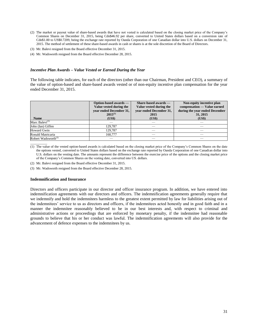- (2) The market or payout value of share-based awards that have not vested is calculated based on the closing market price of the Company's Common Shares on December 31, 2015, being Cdn\$46.92 per share, converted to United States dollars based on a conversion rate of Cdn\$1.00 to US\$0.7209, being the exchange rate reported by Oanda Corporation of one Canadian dollar into U.S. dollars on December 31, 2015. The method of settlement of these share-based awards in cash or shares is at the sole discretion of the Board of Directors.
- (3) Mr. Balevi resigned from the Board effective December 31, 2015.
- (4) Mr. Wadsworth resigned from the Board effective December 28, 2015.

#### *Incentive Plan Awards – Value Vested or Earned During the Year*

The following table indicates, for each of the directors (other than our Chairman, President and CEO), a summary of the value of option-based and share-based awards vested or of non-equity incentive plan compensation for the year ended December 31, 2015.

|                                 | Option-based awards —<br>Value vested during the<br>vear ended December 31,<br>$2015^{(1)}$ | Share-based awards —<br>Value vested during the<br>year ended December 31,<br>2015 | Non-equity incentive plan<br>compensation — Value earned<br>during the year ended December<br>31, 2015 |
|---------------------------------|---------------------------------------------------------------------------------------------|------------------------------------------------------------------------------------|--------------------------------------------------------------------------------------------------------|
| <b>Name</b>                     | (US\$)                                                                                      | (US\$)                                                                             | (US\$)                                                                                                 |
| Marc Balevi <sup>(2)</sup>      |                                                                                             |                                                                                    |                                                                                                        |
| John (Ian) Giffen               | 129.787                                                                                     |                                                                                    |                                                                                                        |
| <b>Howard Gwin</b>              | 129.787                                                                                     |                                                                                    |                                                                                                        |
| Ronald Matricaria               | 160,777                                                                                     |                                                                                    |                                                                                                        |
| Robert Wadsworth <sup>(3)</sup> |                                                                                             |                                                                                    |                                                                                                        |

(1) The value of the vested option-based awards is calculated based on the closing market price of the Company's Common Shares on the date the options vested, converted to United States dollars based on the exchange rate reported by Oanda Corporation of one Canadian dollar into U.S. dollars on the vesting date. The amounts represent the difference between the exercise price of the options and the closing market price of the Company's Common Shares on the vesting date, converted into US. dollars.

- (2) Mr. Balevi resigned from the Board effective December 31, 2015.
- (3) Mr. Wadsworth resigned from the Board effective December 28, 2015.

#### **Indemnification and Insurance**

 $\mathcal{L}$ 

Directors and officers participate in our director and officer insurance program. In addition, we have entered into indemnification agreements with our directors and officers. The indemnification agreements generally require that we indemnify and hold the indemnitees harmless to the greatest extent permitted by law for liabilities arising out of the indemnitees' service to us as directors and officers, if the indemnitees acted honestly and in good faith and in a manner the indemnitee reasonably believed to be in our best interests and, with respect to criminal and administrative actions or proceedings that are enforced by monetary penalty, if the indemnitee had reasonable grounds to believe that his or her conduct was lawful. The indemnification agreements will also provide for the advancement of defence expenses to the indemnitees by us.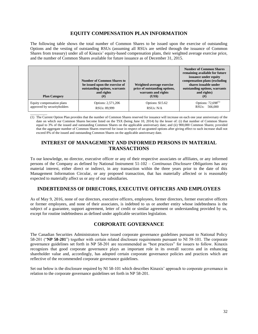# **EQUITY COMPENSATION PLAN INFORMATION**

The following table shows the total number of Common Shares to be issued upon the exercise of outstanding Options and the vesting of outstanding RSUs (assuming all RSUs are settled through the issuance of Common Shares from treasury) under all of Kinaxis' equity-based compensation plans, their weighted average exercise price, and the number of Common Shares available for future issuance as of December 31, 2015.

| <b>Plan Category</b>        | <b>Number of Common Shares to</b><br>be issued upon the exercise of<br>outstanding options, warrants<br>and rights<br>$^{(#)}$ | Weighted-average exercise<br>price of outstanding options,<br>warrants and rights<br>(US\$) | <b>Number of Common Shares</b><br>remaining available for future<br>issuance under equity<br>compensation plans (excluding<br>shares issuable under<br>outstanding options, warrants<br>and rights)<br>(# ) |
|-----------------------------|--------------------------------------------------------------------------------------------------------------------------------|---------------------------------------------------------------------------------------------|-------------------------------------------------------------------------------------------------------------------------------------------------------------------------------------------------------------|
| Equity compensation plans   | Options: 2,571,206                                                                                                             | Options: \$15.62                                                                            | Options: $72,698^{(1)}$                                                                                                                                                                                     |
| approved by securityholders | RSU <sub>s</sub> : 89,999                                                                                                      | RSU <sub>s</sub> : N/A                                                                      | RSU <sub>s</sub> : 566,000                                                                                                                                                                                  |

 $\overline{\phantom{a}}$  , where  $\overline{\phantom{a}}$ (1) The Current Option Plan provides that the number of Common Shares reserved for issuance will increase on each one year anniversary of the date on which our Common Shares become listed on the TSX (being June 10, 2014) by the lesser of: (i) that number of Common Shares equal to 3% of the issued and outstanding Common Shares on the applicable anniversary date; and (ii) 900,000 Common Shares; provided that the aggregate number of Common Shares reserved for issue in respect of un-granted options after giving effect to such increase shall not exceed 8% of the issued and outstanding Common Shares on the applicable anniversary date.

# **INTEREST OF MANAGEMENT AND INFORMED PERSONS IN MATERIAL TRANSACTIONS**

To our knowledge, no director, executive officer or any of their respective associates or affiliates, or any informed persons of the Company as defined by National Instrument 51-102 – *Continuous Disclosure Obligations* has any material interest, either direct or indirect, in any transaction within the three years prior to the date of this Management Information Circular, or any proposed transaction, that has materially affected or is reasonably expected to materially affect us or any of our subsidiaries.

# **INDEBTEDNESS OF DIRECTORS, EXECUTIVE OFFICERS AND EMPLOYEES**

As of May 9, 2016, none of our directors, executive officers, employees, former directors, former executive officers or former employees, and none of their associates, is indebted to us or another entity whose indebtedness is the subject of a guarantee, support agreement, letter of credit or similar agreement or understanding provided by us, except for routine indebtedness as defined under applicable securities legislation.

# **CORPORATE GOVERNANCE**

The Canadian Securities Administrators have issued corporate governance guidelines pursuant to National Policy 58-201 ("**NP 58-201**") together with certain related disclosure requirements pursuant to NI 58-101. The corporate governance guidelines set forth in NP 58-201 are recommended as "best practices" for issuers to follow. Kinaxis recognizes that good corporate governance plays an important role in its overall success and in enhancing shareholder value and, accordingly, has adopted certain corporate governance policies and practices which are reflective of the recommended corporate governance guidelines.

Set out below is the disclosure required by NI 58-101 which describes Kinaxis' approach to corporate governance in relation to the corporate governance guidelines set forth in NP 58-201.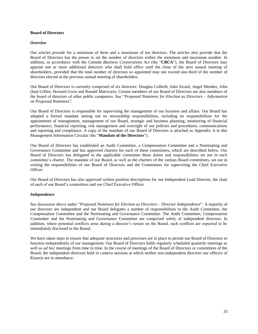# **Board of Directors**

# *Overview*

Our articles provide for a minimum of three and a maximum of ten directors. The articles also provide that the Board of Directors has the power to set the number of directors within the minimum and maximum number. In addition, in accordance with the *Canada Business Corporations Act* (the "**CBCA**"), the Board of Directors may appoint one or more additional directors who shall hold office until the close of the next annual meeting of shareholders, provided that the total number of directors so appointed may not exceed one-third of the number of directors elected at the previous annual meeting of shareholders.

Our Board of Directors is currently comprised of six directors: Douglas Colbeth, John Sicard, Angel Mendez, John (Ian) Giffen, Howard Gwin and Ronald Matricaria. Certain members of our Board of Directors are also members of the board of directors of other public companies. See "*Proposed Nominees for Election as Directors – Information on Proposed Nominees*".

Our Board of Directors is responsible for supervising the management of our business and affairs. Our Board has adopted a formal mandate setting out its stewardship responsibilities, including its responsibilities for the appointment of management, management of our Board, strategic and business planning, monitoring of financial performance, financial reporting, risk management and oversight of our policies and procedures, communications and reporting and compliance. A copy of the mandate of our Board of Directors is attached as Appendix A to this Management Information Circular (the "**Mandate of the Directors**").

Our Board of Directors has established an Audit Committee, a Compensation Committee and a Nominating and Governance Committee and has approved charters for each of these committees, which are described below. Our Board of Directors has delegated to the applicable committee those duties and responsibilities set out in each committee's charter. The mandate of our Board, as well as the charters of the various Board committees, set out in writing the responsibilities of our Board of Directors and the Committees for supervising the Chief Executive Officer.

Our Board of Directors has also approved written position descriptions for our Independent Lead Director, the chair of each of our Board's committees and our Chief Executive Officer.

# *Independence*

See discussion above under "*Proposed Nominees for Election as Directors – Director Independence*". A majority of our directors are independent and our Board delegates a number of responsibilities to the Audit Committee, the Compensation Committee and the Nominating and Governance Committee. The Audit Committee, Compensation Committee and the Nominating and Governance Committee are comprised solely of independent directors. In addition, where potential conflicts arise during a director's tenure on the Board, such conflicts are expected to be immediately disclosed to the Board.

We have taken steps to ensure that adequate structures and processes are in place to permit our Board of Directors to function independently of our management. Our Board of Directors holds regularly scheduled quarterly meetings as well as *ad hoc* meetings from time to time. In the course of meetings of the Board of Directors or committees of the Board, the independent directors hold *in camera* sessions at which neither non-independent directors nor officers of Kinaxis are in attendance.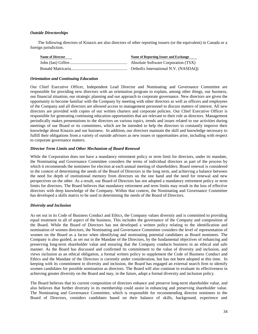# *Outside Directorships*

The following directors of Kinaxis are also directors of other reporting issuers (or the equivalent) in Canada or a foreign jurisdiction.

| <b>Name of Director</b> | Name of Reporting Issuer and Exchange |
|-------------------------|---------------------------------------|
|                         |                                       |
|                         |                                       |

# *Orientation and Continuing Education*

Our Chief Executive Officer, Independent Lead Director and Nominating and Governance Committee are responsible for providing new directors with an orientation program to explain, among other things, our business, our financial situation, our strategic planning and our approach to corporate governance. New directors are given the opportunity to become familiar with the Company by meeting with other directors as well as officers and employees of the Company and all directors are allowed access to management personnel to discuss matters of interest. All new directors are provided with copies of our written charters and corporate policies. Our Chief Executive Officer is responsible for generating continuing education opportunities that are relevant to their role as directors. Management periodically makes presentations to the directors on various topics, trends and issues related to our activities during meetings of our Board or its committees, which are be intended to help the directors to constantly improve their knowledge about Kinaxis and our business. In addition, our directors maintain the skill and knowledge necessary to fulfill their obligations from a variety of outside advisors as new issues or opportunities arise, including with respect to corporate governance matters.

# *Director Term Limits and Other Mechanism of Board Renewal*

While the Corporation does not have a mandatory retirement policy or term limit for directors, under its mandate, the Nominating and Governance Committee considers the terms of individual directors as part of the process by which it recommends the nominees for election at each annual meeting of shareholders. Board renewal is considered in the context of determining the needs of the Board of Directors in the long term, and achieving a balance between the need for depth of institutional memory from directors on the one hand and the need for renewal and new perspectives on the other. As a result, our Board of Directors has not adopted a mandatory retirement policy or term limits for directors. The Board believes that mandatory retirement and term limits may result in the loss of effective directors with deep knowledge of the Company. Within that context, the Nominating and Governance Committee has developed a skills matrix to be used in determining the needs of the Board of Directors.

# *Diversity and Inclusion*

As set out in its Code of Business Conduct and Ethics, the Company values diversity and is committed to providing equal treatment in all of aspect of the business. This includes the governance of the Company and composition of the Board. While the Board of Directors has not developed a written policy relating to the identification and nomination of women directors, the Nominating and Governance Committee considers the level of representation of women on the Board as a factor when identifying and nominating potential candidates as Board nominees. The Company is also guided, as set out in the Mandate of the Directors, by the fundamental objectives of enhancing and preserving long-term shareholder value and ensuring that the Company conducts business in an ethical and safe manner. As the Board has discussed and confirmed its commitment to the value of diversity and inclusion, and views inclusion as an ethical obligation, a formal written policy to supplement the Code of Business Conduct and Ethics and the Mandate of the Directors is currently under consideration, but has not been adopted at this time. In keeping with its commitment to diversity and inclusion, the Board has engaged an external search firm to identify women candidates for possible nomination as directors. The Board will also continue to evaluate its effectiveness in achieving greater diversity on the Board and may, in the future, adopt a formal diversity and inclusion policy.

The Board believes that its current composition of directors enhance and preserve long-term shareholder value, and also believes that further diversity in its membership could assist in enhancing and preserving shareholder value. The Nominating and Governance Committee, which is responsible for recommending director nominees to the Board of Directors, considers candidates based on their balance of skills, background, experience and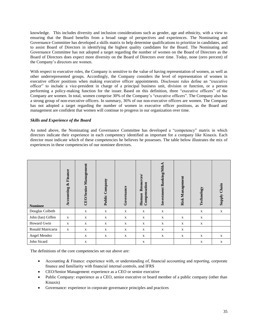knowledge. This includes diversity and inclusion considerations such as gender, age and ethnicity, with a view to ensuring that the Board benefits from a broad range of perspectives and experiences. The Nominating and Governance Committee has developed a skills matrix to help determine qualifications to prioritize in candidates, and to assist Board of Directors in identifying the highest quality candidates for the Board. The Nominating and Governance Committee has not adopted a target regarding the number of women on the Board of Directors as the Board of Directors does expect more diversity on the Board of Directors over time. Today, none (zero percent) of the Company's directors are women.

With respect to executive roles, the Company is sensitive to the value of having representation of women, as well as other underrepresented groups. Accordingly, the Company considers the level of representation of women in executive officer positions when making executive officer appointments. Disclosure rules define an "executive officer" to include a vice-president in charge of a principal business unit, division or function, or a person performing a policy-making function for the issuer. Based on this definition, three "executive officers" of the Company are women. In total, women comprise 30% of the Company's "executive officers". The Company also has a strong group of non-executive officers. In summary, 36% of our non-executive officers are women. The Company has not adopted a target regarding the number of women in executive officer positions, as the Board and management are confident that women will continue to progress in our organization over time.

# *Skills and Experience of the Board*

As noted above, the Nominating and Governance Committee has developed a "competency" matrix in which directors indicate their experience in each competency identified as important for a company like Kinaxis. Each director must indicate which of these competencies he believes he possesses. The table below illustrates the mix of experiences in these competencies of our nominee directors.

| <b>Nominee</b>    | Finance<br>ళ<br>Accounting | Management<br><b>CEO/Senior</b> | Public Company | Governance  | Resources/<br>Compensation<br>Human | Investment Banking/M&A | <b>Risk Management</b> | Technology  | Chain<br>Suquis |
|-------------------|----------------------------|---------------------------------|----------------|-------------|-------------------------------------|------------------------|------------------------|-------------|-----------------|
| Douglas Colbeth   |                            | $\mathbf X$                     | $\mathbf X$    | $\mathbf X$ | $\mathbf X$                         | $\mathbf X$            |                        | $\mathbf X$ | $\mathbf X$     |
| John (Ian) Giffen | $\mathbf X$                | $\mathbf X$                     | $\mathbf X$    | $\mathbf X$ | $\mathbf X$                         | $\mathbf x$            | $\mathbf X$            | $\mathbf X$ |                 |
| Howard Gwin       | X                          | X                               | $\mathbf{X}$   | X           | $\mathbf{X}$                        | X                      | $\mathbf{X}$           | X           |                 |
| Ronald Matricaria | $\mathbf x$                | $\mathbf X$                     | $\mathbf X$    | $\mathbf X$ | $\mathbf X$                         | $\mathbf X$            | $\mathbf X$            |             |                 |
| Angel Mendez      |                            | $\mathbf X$                     | $\mathbf X$    | $\mathbf X$ | $\mathbf X$                         | $\mathbf X$            | $\mathbf X$            | $\mathbf X$ | $\mathbf X$     |
| John Sicard       |                            | X                               |                |             | X                                   |                        |                        | X           | X               |

The definitions of the core competencies set out above are:

- Accounting & Finance: experience with, or understanding of, financial accounting and reporting, corporate finance and familiarity with financial internal controls, and IFRS
- CEO/Senior Management: experience as a CEO or senior executive
- Public Company: experience as a CEO, senior executive or board member of a public company (other than Kinaxis)
- Governance: experience in corporate governance principles and practices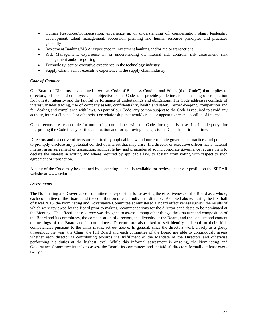- Human Resources/Compensation: experience in, or understanding of, compensation plans, leadership development, talent management, succession planning and human resource principles and practices generally
- Investment Banking/M&A: experience in investment banking and/or major transactions
- Risk Management: experience in, or understanding of, internal risk controls, risk assessment, risk management and/or reporting
- Technology: senior executive experience in the technology industry
- Supply Chain: senior executive experience in the supply chain industry

# *Code of Conduct*

Our Board of Directors has adopted a written Code of Business Conduct and Ethics (the "**Code**") that applies to directors, officers and employees. The objective of the Code is to provide guidelines for enhancing our reputation for honesty, integrity and the faithful performance of undertakings and obligations. The Code addresses conflicts of interest, insider trading, use of company assets, confidentiality, health and safety, record-keeping, competition and fair dealing and compliance with laws. As part of our Code, any person subject to the Code is required to avoid any activity, interest (financial or otherwise) or relationship that would create or appear to create a conflict of interest.

Our directors are responsible for monitoring compliance with the Code, for regularly assessing its adequacy, for interpreting the Code in any particular situation and for approving changes to the Code from time to time.

Directors and executive officers are required by applicable law and our corporate governance practices and policies to promptly disclose any potential conflict of interest that may arise. If a director or executive officer has a material interest in an agreement or transaction, applicable law and principles of sound corporate governance require them to declare the interest in writing and where required by applicable law, to abstain from voting with respect to such agreement or transaction.

A copy of the Code may be obtained by contacting us and is available for review under our profile on the SEDAR website at [www.sedar.com.](http://www.sedar.com/)

# *Assessments*

The Nominating and Governance Committee is responsible for assessing the effectiveness of the Board as a whole, each committee of the Board, and the contribution of each individual director. As noted above, during the first half of fiscal 2016, the Nominating and Governance Committee administered a Board effectiveness survey, the results of which were reviewed by the Board prior to making recommendations for the director candidates to be nominated at the Meeting. The effectiveness survey was designed to assess, among other things, the structure and composition of the Board and its committees, the compensation of directors, the diversity of the Board, and the conduct and content of meetings of the Board and its committees. Directors are also asked to self-identify and confirm their skills competencies pursuant to the skills matrix set out above. In general, since the directors work closely as a group throughout the year, the Chair, the full Board and each committee of the Board are able to continuously assess whether each director is contributing towards the fulfillment of the Mandate of the Directors and otherwise performing his duties at the highest level. While this informal assessment is ongoing, the Nominating and Governance Committee intends to assess the Board, its committees and individual directors formally at least every two years.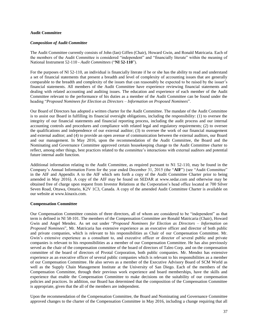# **Audit Committee**

# *Composition of Audit Committee*

The Audit Committee currently consists of John (Ian) Giffen (Chair), Howard Gwin, and Ronald Matricaria. Each of the members of the Audit Committee is considered "independent" and "financially literate" within the meaning of National Instrument 52-110 - *Audit Committees* ("**NI 52-110**").

For the purposes of NI 52-110, an individual is financially literate if he or she has the ability to read and understand a set of financial statements that present a breadth and level of complexity of accounting issues that are generally comparable to the breadth and complexity of the issues that can reasonably be expected to be raised by the issuer's financial statements. All members of the Audit Committee have experience reviewing financial statements and dealing with related accounting and auditing issues. The education and experience of each member of the Audit Committee relevant to the performance of his duties as a member of the Audit Committee can be found under the heading "*Proposed Nominees for Election as Directors – Information on Proposed Nominees*".

Our Board of Directors has adopted a written charter for the Audit Committee. The mandate of the Audit Committee is to assist our Board in fulfilling its financial oversight obligations, including the responsibility: (1) to oversee the integrity of our financial statements and financial reporting process, including the audit process and our internal accounting controls and procedures and compliance with related legal and regulatory requirements; (2) to oversee the qualifications and independence of our external auditor; (3) to oversee the work of our financial management and external auditor; and (4) to provide an open avenue of communication between the external auditors, our Board and our management. In May 2016, upon the recommendation of the Audit Committee, the Board and the Nominating and Governance Committee approved certain housekeeping change to the Audit Committee charter to reflect, among other things, best practices related to the committee's interactions with external auditors and potential future internal audit function.

Additional information relating to the Audit Committee, as required pursuant to N1 52-110, may be found in the Company's Annual Information Form for the year ended December 31, 2015 (the "**AIF**") (see "Audit Committee" in the AIF and Appendix A to the AIF which sets forth a copy of the Audit Committee Charter prior to being amended in May 2016). A copy of the AIF may be found on SEDAR at www.sedar.com and otherwise may be obtained free of charge upon request from Investor Relations at the Corporation's head office located at 700 Silver Seven Road, Ottawa, Ontario, K2V 1C3, Canada. A copy of the amended Audit Committee Charter is available on our website at www.kinaxis.com.

# **Compensation Committee**

Our Compensation Committee consists of three directors, all of whom are considered to be "independent" as that term is defined in NI 58-101. The members of the Compensation Committee are Ronald Matricaria (Chair), Howard Gwin and Angel Mendez. As set out under "*Proposed Nominees for Election as Directors – Information on Proposed Nominees*", Mr. Matricaria has extensive experience as an executive officer and director of both public and private companies, which is relevant to his responsibilities as Chair of our Compensation Committee. Mr. Gwin's extensive experience as a consultant to, and executive officer or director of several public and private companies is relevant to his responsibilities as a member of our Compensation Committee. He has also previously served as the chair of the compensation committee of the board of directors of Taleo Corp. and on the compensation committee of the board of directors of Pivotal Corporation, both public companies. Mr. Mendez has extensive experience as an executive officer of several public companies which is relevant to his responsibilities as a member of our Compensation Committee. He also serves as a member of the Executive Advisory Board of SCM World as well as the Supply Chain Management Institute at the University of San Diego. Each of the members of the Compensation Committee, through their previous work experience and board memberships, have the skills and experience that enable the Compensation Committee to make decisions on the suitability of our compensation policies and practices. In addition, our Board has determined that the composition of the Compensation Committee is appropriate, given that the all of the members are independent.

Upon the recommendation of the Compensation Committee, the Board and Nominating and Governance Committee approved changes to the charter of the Compensation Committee in May 2016, including a change requiring that all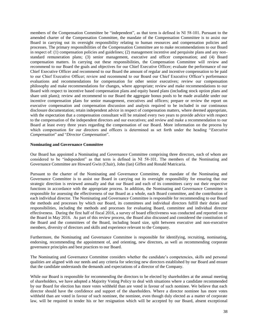members of the Compensation Committee be "independent", as that term is defined in NI 58-101. Pursuant to the amended charter of the Compensation Committee, the mandate of the Compensation Committee is to assist our Board in carrying out its oversight responsibility relating to human resources and compensation policies and processes. The primary responsibilities of the Compensation Committee are to make recommendations to our Board in respect of: (1) compensation policies and guidelines; (2) management incentive and perquisite plans and any nonstandard remuneration plans; (3) senior management, executive and officer compensation; and (4) Board compensation matters. In carrying out these responsibilities, the Compensation Committee will review and recommend to our Board the goals and objectives for our Chief Executive Officer; evaluate the performance of our Chief Executive Officer and recommend to our Board the amount of regular and incentive compensation to be paid to our Chief Executive Officer; review and recommend to our Board our Chief Executive Officer's performance evaluations and recommendations for compensation for other senior executives; review our compensation philosophy and make recommendations for changes, where appropriate; review and make recommendations to our Board with respect to incentive based compensation plans and equity based plans (including stock option plans and share unit plans); review and recommend to our Board the aggregate bonus pools to be made available under our incentive compensation plans for senior management, executives and officers; prepare or review the report on executive compensation and compensation discussion and analysis required to be included in our continuous disclosure documentation; retain independent advice in respect of compensation matters, where deemed appropriate, with the expectation that a compensation consultant will be retained every two years to provide advice with respect to the compensation of the independent directors and our executives; and review and make a recommendation to our Board at least every three years regarding the compensation of our Board. More information on the process by which compensation for our directors and officers is determined as set forth under the heading "*Executive Compensation*" and "*Director Compensation*".

#### **Nominating and Governance Committee**

Our Board has appointed a Nominating and Governance Committee comprising three directors, each of whom are considered to be "independent" as that term is defined in NI 58-101. The members of the Nominating and Governance Committee are Howard Gwin (Chair), John (Ian) Giffen and Ronald Matricaria.

Pursuant to the charter of the Nominating and Governance Committee, the mandate of the Nominating and Governance Committee is to assist our Board in carrying out its oversight responsibility for ensuring that our strategic direction is reviewed annually and that our Board and each of its committees carry out their respective functions in accordance with the appropriate process. In addition, the Nominating and Governance Committee is responsible for assessing the effectiveness of our Board as a whole, each Board committee, and the contribution of each individual director. The Nominating and Governance Committee is responsible for recommending to our Board the methods and processes by which our Board, its committees and individual directors fulfill their duties and responsibilities, including the methods and processes for evaluating Board, committee and individual director effectiveness. During the first half of fiscal 2016, a survey of board effectiveness was conducted and reported on to the Board in May 2016. As part of this review process, the Board also discussed and considered the constitution of the Board and the committees of the Board, including board size, split between executive and non-executive members, diversity of directors and skills and experience relevant to the Company.

Furthermore, the Nominating and Governance Committee is responsible for identifying, recruiting, nominating, endorsing, recommending the appointment of, and orienting, new directors, as well as recommending corporate governance principles and best practices to our Board.

The Nominating and Governance Committee considers whether the candidate's competencies, skills and personal qualities are aligned with our needs and any criteria for selecting new directors established by our Board and ensure that the candidate understands the demands and expectations of a director of the Company.

While our Board is responsible for recommending the directors to be elected by shareholders at the annual meeting of shareholders, we have adopted a Majority Voting Policy to deal with situations where a candidate recommended by our Board for election has more votes withheld than are voted in favour of such nominee. We believe that each director should have the confidence and support of the shareholders. Where a director nominee has more votes withheld than are voted in favour of such nominee, the nominee, even though duly elected as a matter of corporate law, will be required to tender his or her resignation which will be accepted by our Board, absent exceptional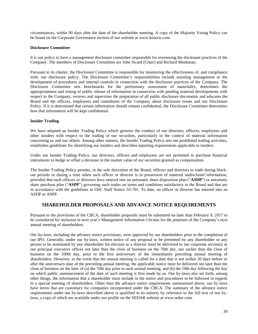circumstances, within 90 days after the date of the shareholder meeting. A copy of the Majority Voting Policy can be found on the Corporate Governance section of our website at www.kinaxis.com.

# **Disclosure Committee**

It is our policy to have a management disclosure committee responsible for overseeing the disclosure practices of the Company. The members of Disclosure Committee are John Sicard (Chair) and Richard Monkman.

Pursuant to its charter, the Disclosure Committee is responsible for monitoring the effectiveness of, and compliance with, our disclosure policy. The Disclosure Committee's responsibilities include assisting management in the development of procedures and internal controls in connection with the disclosure practices of the Company. The Disclosure Committee sets benchmarks for the preliminary assessment of materiality, determines the appropriateness and timing of public release of information in connection with pending material developments with respect to the Company, reviews and supervises the preparation of all public disclosure documents and educates the Board and the officers, employees and consultants of the Company about disclosure issues and our Disclosure Policy. If it is determined that certain information should remain confidential, the Disclosure Committee determines how that information will be kept confidential.

# **Insider Trading**

We have adopted an Insider Trading Policy which governs the conduct of our directors, officers, employees and other insiders with respect to the trading of our securities, particularly in the context of material information concerning us and our affairs. Among other matters, the Insider Trading Policy sets out prohibited trading activities, establishes guidelines for identifying our insiders and describes reporting requirements applicable to insiders.

Under our Insider Trading Policy, our directors, officers and employees are not permitted to purchase financial instruments to hedge or offset a decrease in the market value of our securities granted as compensation.

The Insider Trading Policy permits, in the sole discretion of the Board, officers and directors to trade during blackout periods or during a time when such officer or director is in possession of material undisclosed information, provided that such officers or directors have entered into an automatic share disposition plan ("**ASDP**") or automatic share purchase plan ("**ASPP**") governing such trades on terms and conditions satisfactory to the Board and that are in accordance with the guidelines in OSC Staff Notice 55-701. To date, no officer or director has entered into an ASDP or ASPP.

# **SHAREHOLDER PROPOSALS AND ADVANCE NOTICE REQUIREMENTS**

Pursuant to the provisions of the CBCA, shareholder proposals must be submitted no later than February 9, 2017 to be considered for inclusion in next year's Management Information Circular for the purposes of the Company's next annual meeting of shareholders.

Our by-laws, including the advance notice provisions, were approved by our shareholders prior to the completion of our IPO. Generally, under our by-laws, written notice of any proposal to be presented by any shareholder or any person to be nominated by any shareholder for election as a director must be delivered to our corporate secretary at our principal executive offices not later than the close of business on the 70th day, nor earlier than the close of business on the 100th day, prior to the first anniversary of the immediately preceding annual meeting of shareholders. However, in the event that the annual meeting is called for a date that is not within 30 days before or after the anniversary date of the preceding annual meeting, the applicable notice must be delivered not later than the close of business on the later of (a) the 70th day prior to such annual meeting, and (b) the 10th day following the day on which public announcement of the date of such meeting is first made by us. Our by-laws also set forth, among other things, the information that a shareholder must include in the notice and procedures to be followed in regards to a special meeting of shareholders. Other than the advance notice requirements summarized above, our by-laws have terms that are customary for companies incorporated under the CBCA. The summary of the advance notice requirements under our by-laws described above is qualified in its entirety by reference to the full text of our bylaws, a copy of which are available under our profile on the SEDAR website at www.sedar.com.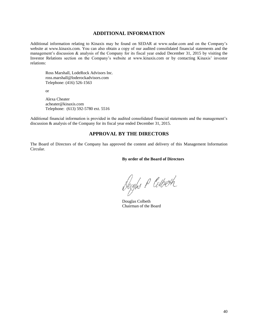# **ADDITIONAL INFORMATION**

Additional information relating to Kinaxis may be found on SEDAR at www.sedar.com and on the Company's website at www.kinaxis.com. You can also obtain a copy of our audited consolidated financial statements and the management's discussion & analysis of the Company for its fiscal year ended December 31, 2015 by visiting the Investor Relations section on the Company's website at www.kinaxis.com or by contacting Kinaxis' investor relations:

Ross Marshall, LodeRock Advisors Inc. ross.marshall@loderockadvisors.com Telephone: (416) 526-1563

or

Alexa Cheater acheater@kinaxis.com Telephone: (613) 592-5780 ext. 5516

Additional financial information is provided in the audited consolidated financial statements and the management's discussion & analysis of the Company for its fiscal year ended December 31, 2015.

# **APPROVAL BY THE DIRECTORS**

The Board of Directors of the Company has approved the content and delivery of this Management Information Circular.

**By order of the Board of Directors**

Dougles P Colbeth

Douglas Colbeth Chairman of the Board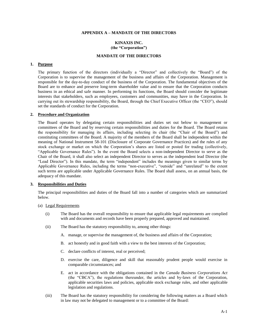# **APPENDIX A – MANDATE OF THE DIRECTORS**

# **KINAXIS INC. (the "Corporation")**

# **MANDATE OF THE DIRECTORS**

#### **1. Purpose**

The primary function of the directors (individually a "Director" and collectively the "Board") of the Corporation is to supervise the management of the business and affairs of the Corporation. Management is responsible for the day-to-day conduct of the business of the Corporation. The fundamental objectives of the Board are to enhance and preserve long-term shareholder value and to ensure that the Corporation conducts business in an ethical and safe manner. In performing its functions, the Board should consider the legitimate interests that stakeholders, such as employees, customers and communities, may have in the Corporation. In carrying out its stewardship responsibility, the Board, through the Chief Executive Officer (the "CEO"), should set the standards of conduct for the Corporation.

# **2. Procedure and Organization**

The Board operates by delegating certain responsibilities and duties set out below to management or committees of the Board and by reserving certain responsibilities and duties for the Board. The Board retains the responsibility for managing its affairs, including selecting its chair (the "Chair of the Board") and constituting committees of the Board. A majority of the members of the Board shall be independent within the meaning of National Instrument 58-101 (Disclosure of Corporate Governance Practices) and the rules of any stock exchange or market on which the Corporation's shares are listed or posted for trading (collectively, "Applicable Governance Rules"). In the event the Board selects a non-independent Director to serve as the Chair of the Board, it shall also select an independent Director to serves as the independent lead Director (the "Lead Director"). In this mandate, the term "independent" includes the meanings given to similar terms by Applicable Governance Rules, including the terms "non-executive", "outside" and "unrelated" to the extent such terms are applicable under Applicable Governance Rules. The Board shall assess, on an annual basis, the adequacy of this mandate.

# **3. Responsibilities and Duties**

The principal responsibilities and duties of the Board fall into a number of categories which are summarized below.

#### (a) Legal Requirements

- (i) The Board has the overall responsibility to ensure that applicable legal requirements are complied with and documents and records have been properly prepared, approved and maintained.
- (ii) The Board has the statutory responsibility to, among other things:
	- A. manage, or supervise the management of, the business and affairs of the Corporation;
	- B. act honestly and in good faith with a view to the best interests of the Corporation;
	- C. declare conflicts of interest, real or perceived;
	- D. exercise the care, diligence and skill that reasonably prudent people would exercise in comparable circumstances; and
	- E. act in accordance with the obligations contained in the *Canada Business Corporations Act*  (the "CBCA"), the regulations thereunder, the articles and by-laws of the Corporation, applicable securities laws and policies, applicable stock exchange rules, and other applicable legislation and regulations.
- (iii) The Board has the statutory responsibility for considering the following matters as a Board which in law may not be delegated to management or to a committee of the Board: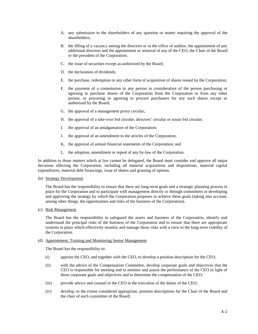- A. any submission to the shareholders of any question or matter requiring the approval of the shareholders;
- B. the filling of a vacancy among the directors or in the office of auditor, the appointment of any additional directors and the appointment or removal of any of the CEO, the Chair of the Board or the president of the Corporation;
- C. the issue of securities except as authorized by the Board;
- D. the declaration of dividends;
- E. the purchase, redemption or any other form of acquisition of shares issued by the Corporation;
- F. the payment of a commission to any person in consideration of the person purchasing or agreeing to purchase shares of the Corporation from the Corporation or from any other person, or procuring or agreeing to procure purchasers for any such shares except as authorized by the Board;
- G. the approval of a management proxy circular;
- H. the approval of a take-over bid circular, directors' circular or issuer bid circular;
- I. the approval of an amalgamation of the Corporation;
- J. the approval of an amendment to the articles of the Corporation;
- K. the approval of annual financial statements of the Corporation; and
- L. the adoption, amendment or repeal of any by-law of the Corporation.

In addition to those matters which at law cannot be delegated, the Board must consider and approve all major decisions affecting the Corporation, including all material acquisitions and dispositions, material capital expenditures, material debt financings, issue of shares and granting of options.

(b) Strategy Development

The Board has the responsibility to ensure that there are long-term goals and a strategic planning process in place for the Corporation and to participate with management directly or through committees in developing and approving the strategy by which the Corporation proposes to achieve these goals (taking into account, among other things, the opportunities and risks of the business of the Corporation).

(c) Risk Management

The Board has the responsibility to safeguard the assets and business of the Corporation, identify and understand the principal risks of the business of the Corporation and to ensure that there are appropriate systems in place which effectively monitor and manage those risks with a view to the long-term viability of the Corporation.

# (d) Appointment, Training and Monitoring Senior Management

The Board has the responsibility to:

- (i) appoint the CEO, and together with the CEO, to develop a position description for the CEO;
- (ii) with the advice of the Compensation Committee, develop corporate goals and objectives that the CEO is responsible for meeting and to monitor and assess the performance of the CEO in light of those corporate goals and objectives and to determine the compensation of the CEO;
- (iii) provide advice and counsel to the CEO in the execution of the duties of the CEO;
- (iv) develop, to the extent considered appropriate, position descriptions for the Chair of the Board and the chair of each committee of the Board;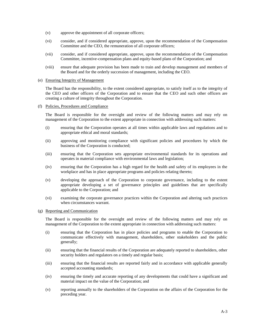- (v) approve the appointment of all corporate officers;
- (vi) consider, and if considered appropriate, approve, upon the recommendation of the Compensation Committee and the CEO, the remuneration of all corporate officers;
- (vii) consider, and if considered appropriate, approve, upon the recommendation of the Compensation Committee, incentive-compensation plans and equity-based plans of the Corporation; and
- (viii) ensure that adequate provision has been made to train and develop management and members of the Board and for the orderly succession of management, including the CEO.
- (e) Ensuring Integrity of Management

The Board has the responsibility, to the extent considered appropriate, to satisfy itself as to the integrity of the CEO and other officers of the Corporation and to ensure that the CEO and such other officers are creating a culture of integrity throughout the Corporation.

(f) Policies, Procedures and Compliance

The Board is responsible for the oversight and review of the following matters and may rely on management of the Corporation to the extent appropriate in connection with addressing such matters:

- (i) ensuring that the Corporation operates at all times within applicable laws and regulations and to appropriate ethical and moral standards;
- (ii) approving and monitoring compliance with significant policies and procedures by which the business of the Corporation is conducted;
- (iii) ensuring that the Corporation sets appropriate environmental standards for its operations and operates in material compliance with environmental laws and legislation;
- (iv) ensuring that the Corporation has a high regard for the health and safety of its employees in the workplace and has in place appropriate programs and policies relating thereto;
- (v) developing the approach of the Corporation to corporate governance, including to the extent appropriate developing a set of governance principles and guidelines that are specifically applicable to the Corporation; and
- (vi) examining the corporate governance practices within the Corporation and altering such practices when circumstances warrant.
- (g) Reporting and Communication

The Board is responsible for the oversight and review of the following matters and may rely on management of the Corporation to the extent appropriate in connection with addressing such matters:

- (i) ensuring that the Corporation has in place policies and programs to enable the Corporation to communicate effectively with management, shareholders, other stakeholders and the public generally;
- (ii) ensuring that the financial results of the Corporation are adequately reported to shareholders, other security holders and regulators on a timely and regular basis;
- (iii) ensuring that the financial results are reported fairly and in accordance with applicable generally accepted accounting standards;
- (iv) ensuring the timely and accurate reporting of any developments that could have a significant and material impact on the value of the Corporation; and
- (v) reporting annually to the shareholders of the Corporation on the affairs of the Corporation for the preceding year.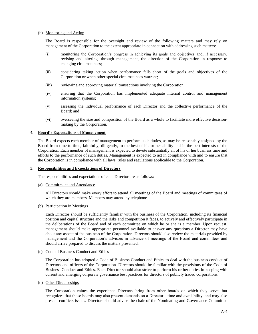# (h) Monitoring and Acting

The Board is responsible for the oversight and review of the following matters and may rely on management of the Corporation to the extent appropriate in connection with addressing such matters:

- (i) monitoring the Corporation's progress in achieving its goals and objectives and, if necessary, revising and altering, through management, the direction of the Corporation in response to changing circumstances;
- (ii) considering taking action when performance falls short of the goals and objectives of the Corporation or when other special circumstances warrant;
- (iii) reviewing and approving material transactions involving the Corporation;
- (iv) ensuring that the Corporation has implemented adequate internal control and management information systems;
- (v) assessing the individual performance of each Director and the collective performance of the Board; and
- (vi) overseeing the size and composition of the Board as a whole to facilitate more effective decisionmaking by the Corporation.

# **4. Board's Expectations of Management**

The Board expects each member of management to perform such duties, as may be reasonably assigned by the Board from time to time, faithfully, diligently, to the best of his or her ability and in the best interests of the Corporation. Each member of management is expected to devote substantially all of his or her business time and efforts to the performance of such duties. Management is expected to act in compliance with and to ensure that the Corporation is in compliance with all laws, rules and regulations applicable to the Corporation.

# **5. Responsibilities and Expectations of Directors**

The responsibilities and expectations of each Director are as follows:

# (a) Commitment and Attendance

All Directors should make every effort to attend all meetings of the Board and meetings of committees of which they are members. Members may attend by telephone.

(b) Participation in Meetings

Each Director should be sufficiently familiar with the business of the Corporation, including its financial position and capital structure and the risks and competition it faces, to actively and effectively participate in the deliberations of the Board and of each committee on which he or she is a member. Upon request, management should make appropriate personnel available to answer any questions a Director may have about any aspect of the business of the Corporation. Directors should also review the materials provided by management and the Corporation's advisors in advance of meetings of the Board and committees and should arrive prepared to discuss the matters presented.

(c) Code of Business Conduct and Ethics

The Corporation has adopted a Code of Business Conduct and Ethics to deal with the business conduct of Directors and officers of the Corporation. Directors should be familiar with the provisions of the Code of Business Conduct and Ethics. Each Director should also strive to perform his or her duties in keeping with current and emerging corporate governance best practices for directors of publicly traded corporations.

(d) Other Directorships

The Corporation values the experience Directors bring from other boards on which they serve, but recognizes that those boards may also present demands on a Director's time and availability, and may also present conflicts issues. Directors should advise the chair of the Nominating and Governance Committee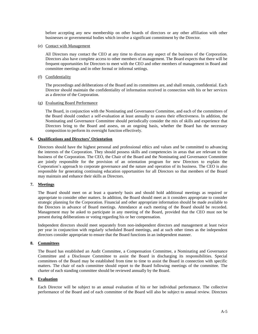before accepting any new membership on other boards of directors or any other affiliation with other businesses or governmental bodies which involve a significant commitment by the Director.

#### (e) Contact with Management

All Directors may contact the CEO at any time to discuss any aspect of the business of the Corporation. Directors also have complete access to other members of management. The Board expects that there will be frequent opportunities for Directors to meet with the CEO and other members of management in Board and committee meetings and in other formal or informal settings.

(f) Confidentiality

The proceedings and deliberations of the Board and its committees are, and shall remain, confidential. Each Director should maintain the confidentiality of information received in connection with his or her services as a director of the Corporation.

# (g) Evaluating Board Performance

The Board, in conjunction with the Nominating and Governance Committee, and each of the committees of the Board should conduct a self-evaluation at least annually to assess their effectiveness. In addition, the Nominating and Governance Committee should periodically consider the mix of skills and experience that Directors bring to the Board and assess, on an ongoing basis, whether the Board has the necessary composition to perform its oversight function effectively.

# **6. Qualifications and Directors' Orientation**

Directors should have the highest personal and professional ethics and values and be committed to advancing the interests of the Corporation. They should possess skills and competencies in areas that are relevant to the business of the Corporation. The CEO, the Chair of the Board and the Nominating and Governance Committee are jointly responsible for the provision of an orientation program for new Directors to explain the Corporation's approach to corporate governance and the nature and operation of its business. The CEO is also responsible for generating continuing education opportunities for all Directors so that members of the Board may maintain and enhance their skills as Directors.

# **7. Meetings**

The Board should meet on at least a quarterly basis and should hold additional meetings as required or appropriate to consider other matters. In addition, the Board should meet as it considers appropriate to consider strategic planning for the Corporation. Financial and other appropriate information should be made available to the Directors in advance of Board meetings. Attendance at each meeting of the Board should be recorded. Management may be asked to participate in any meeting of the Board, provided that the CEO must not be present during deliberations or voting regarding his or her compensation.

Independent directors should meet separately from non-independent directors and management at least twice per year in conjunction with regularly scheduled Board meetings, and at such other times as the independent directors consider appropriate to ensure that the Board functions in an independent manner.

# **8. Committees**

The Board has established an Audit Committee, a Compensation Committee, a Nominating and Governance Committee and a Disclosure Committee to assist the Board in discharging its responsibilities. Special committees of the Board may be established from time to time to assist the Board in connection with specific matters. The chair of each committee should report to the Board following meetings of the committee. The charter of each standing committee should be reviewed annually by the Board.

# **9. Evaluation**

Each Director will be subject to an annual evaluation of his or her individual performance. The collective performance of the Board and of each committee of the Board will also be subject to annual review. Directors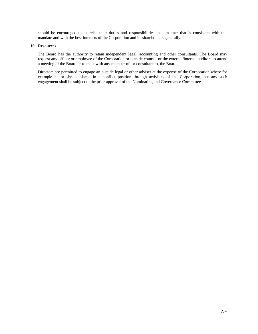should be encouraged to exercise their duties and responsibilities in a manner that is consistent with this mandate and with the best interests of the Corporation and its shareholders generally.

# **10. Resources**

The Board has the authority to retain independent legal, accounting and other consultants. The Board may request any officer or employee of the Corporation or outside counsel or the external/internal auditors to attend a meeting of the Board or to meet with any member of, or consultant to, the Board.

Directors are permitted to engage an outside legal or other adviser at the expense of the Corporation where for example he or she is placed in a conflict position through activities of the Corporation, but any such engagement shall be subject to the prior approval of the Nominating and Governance Committee.